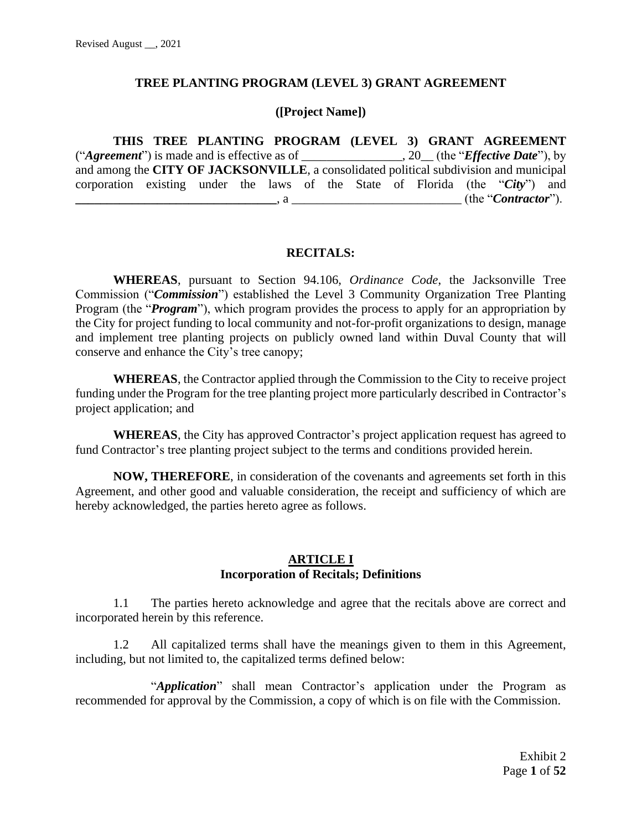#### **TREE PLANTING PROGRAM (LEVEL 3) GRANT AGREEMENT**

#### **([Project Name])**

**THIS TREE PLANTING PROGRAM (LEVEL 3) GRANT AGREEMENT** ("*Agreement*") is made and is effective as of \_\_\_\_\_\_\_\_\_\_\_\_\_\_\_\_, 20\_\_ (the "*Effective Date*"), by and among the **CITY OF JACKSONVILLE**, a consolidated political subdivision and municipal corporation existing under the laws of the State of Florida (the "*City*") and **\_\_\_\_\_\_\_\_\_\_\_\_\_\_\_\_\_\_\_\_\_\_\_\_\_\_\_\_\_\_\_\_**, a \_\_\_\_\_\_\_\_\_\_\_\_\_\_\_\_\_\_\_\_\_\_\_\_\_\_\_ (the "*Contractor*").

#### **RECITALS:**

**WHEREAS**, pursuant to Section 94.106, *Ordinance Code*, the Jacksonville Tree Commission ("*Commission*") established the Level 3 Community Organization Tree Planting Program (the "*Program*"), which program provides the process to apply for an appropriation by the City for project funding to local community and not-for-profit organizations to design, manage and implement tree planting projects on publicly owned land within Duval County that will conserve and enhance the City's tree canopy;

**WHEREAS**, the Contractor applied through the Commission to the City to receive project funding under the Program for the tree planting project more particularly described in Contractor's project application; and

**WHEREAS**, the City has approved Contractor's project application request has agreed to fund Contractor's tree planting project subject to the terms and conditions provided herein.

**NOW, THEREFORE**, in consideration of the covenants and agreements set forth in this Agreement, and other good and valuable consideration, the receipt and sufficiency of which are hereby acknowledged, the parties hereto agree as follows.

#### **ARTICLE I Incorporation of Recitals; Definitions**

1.1 The parties hereto acknowledge and agree that the recitals above are correct and incorporated herein by this reference.

1.2 All capitalized terms shall have the meanings given to them in this Agreement, including, but not limited to, the capitalized terms defined below:

"*Application*" shall mean Contractor's application under the Program as recommended for approval by the Commission, a copy of which is on file with the Commission.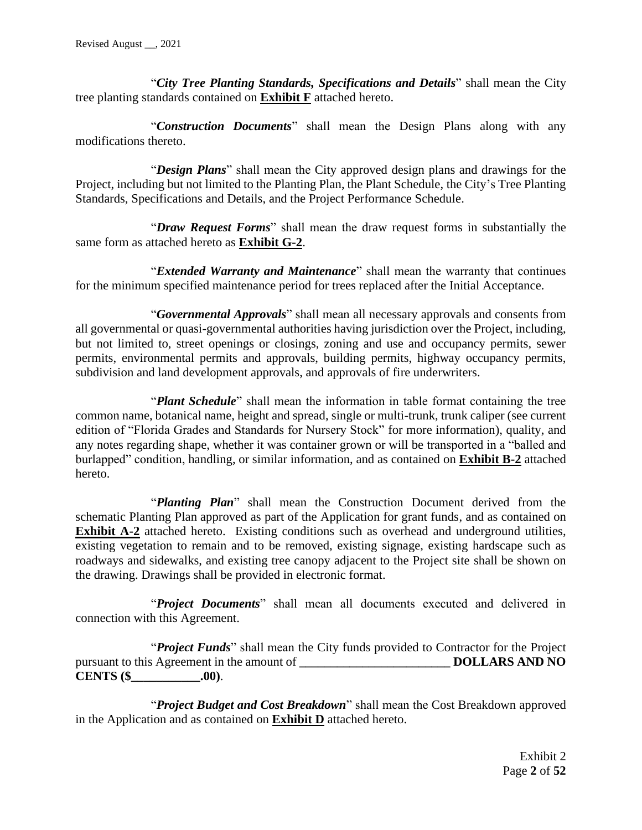"*City Tree Planting Standards, Specifications and Details*" shall mean the City tree planting standards contained on **Exhibit F** attached hereto.

"*Construction Documents*" shall mean the Design Plans along with any modifications thereto.

"*Design Plans*" shall mean the City approved design plans and drawings for the Project, including but not limited to the Planting Plan, the Plant Schedule, the City's Tree Planting Standards, Specifications and Details, and the Project Performance Schedule.

"*Draw Request Forms*" shall mean the draw request forms in substantially the same form as attached hereto as **Exhibit G-2**.

"*Extended Warranty and Maintenance*" shall mean the warranty that continues for the minimum specified maintenance period for trees replaced after the Initial Acceptance.

"*Governmental Approvals*" shall mean all necessary approvals and consents from all governmental or quasi-governmental authorities having jurisdiction over the Project, including, but not limited to, street openings or closings, zoning and use and occupancy permits, sewer permits, environmental permits and approvals, building permits, highway occupancy permits, subdivision and land development approvals, and approvals of fire underwriters.

"*Plant Schedule*" shall mean the information in table format containing the tree common name, botanical name, height and spread, single or multi-trunk, trunk caliper (see current edition of "Florida Grades and Standards for Nursery Stock" for more information), quality, and any notes regarding shape, whether it was container grown or will be transported in a "balled and burlapped" condition, handling, or similar information, and as contained on **Exhibit B-2** attached hereto.

"*Planting Plan*" shall mean the Construction Document derived from the schematic Planting Plan approved as part of the Application for grant funds, and as contained on **Exhibit A-2** attached hereto. Existing conditions such as overhead and underground utilities, existing vegetation to remain and to be removed, existing signage, existing hardscape such as roadways and sidewalks, and existing tree canopy adjacent to the Project site shall be shown on the drawing. Drawings shall be provided in electronic format.

"*Project Documents*" shall mean all documents executed and delivered in connection with this Agreement.

"*Project Funds*" shall mean the City funds provided to Contractor for the Project pursuant to this Agreement in the amount of **\_\_\_\_\_\_\_\_\_\_\_\_\_\_\_\_\_\_\_\_\_\_\_\_ DOLLARS AND NO CENTS (\$\_\_\_\_\_\_\_\_\_\_\_.00)**.

"*Project Budget and Cost Breakdown*" shall mean the Cost Breakdown approved in the Application and as contained on **Exhibit D** attached hereto.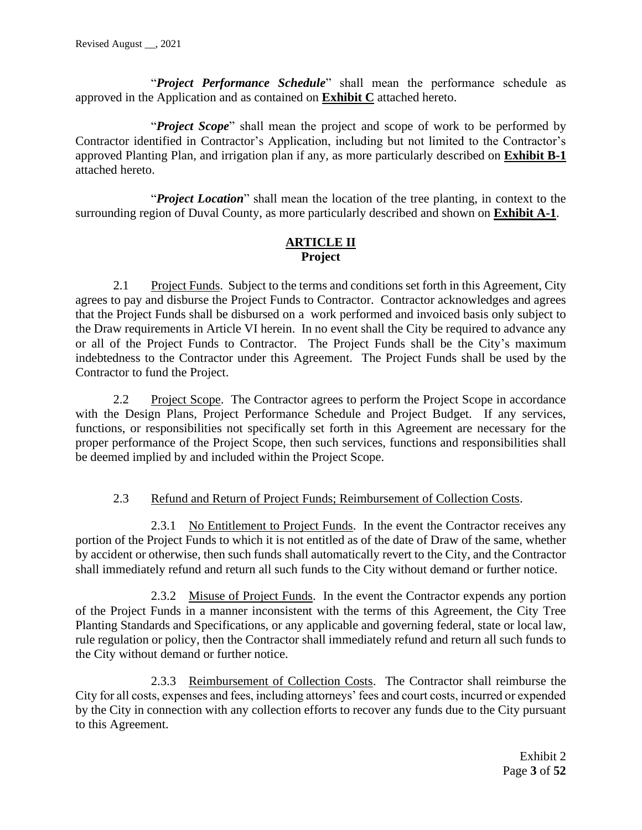"*Project Performance Schedule*" shall mean the performance schedule as approved in the Application and as contained on **Exhibit C** attached hereto.

"*Project Scope*" shall mean the project and scope of work to be performed by Contractor identified in Contractor's Application, including but not limited to the Contractor's approved Planting Plan, and irrigation plan if any, as more particularly described on **Exhibit B-1** attached hereto.

"*Project Location*" shall mean the location of the tree planting, in context to the surrounding region of Duval County, as more particularly described and shown on **Exhibit A-1**.

# **ARTICLE II Project**

2.1 Project Funds. Subject to the terms and conditions set forth in this Agreement, City agrees to pay and disburse the Project Funds to Contractor. Contractor acknowledges and agrees that the Project Funds shall be disbursed on a work performed and invoiced basis only subject to the Draw requirements in Article VI herein. In no event shall the City be required to advance any or all of the Project Funds to Contractor. The Project Funds shall be the City's maximum indebtedness to the Contractor under this Agreement. The Project Funds shall be used by the Contractor to fund the Project.

2.2 Project Scope. The Contractor agrees to perform the Project Scope in accordance with the Design Plans, Project Performance Schedule and Project Budget. If any services, functions, or responsibilities not specifically set forth in this Agreement are necessary for the proper performance of the Project Scope, then such services, functions and responsibilities shall be deemed implied by and included within the Project Scope.

# 2.3 Refund and Return of Project Funds; Reimbursement of Collection Costs.

2.3.1 No Entitlement to Project Funds. In the event the Contractor receives any portion of the Project Funds to which it is not entitled as of the date of Draw of the same, whether by accident or otherwise, then such funds shall automatically revert to the City, and the Contractor shall immediately refund and return all such funds to the City without demand or further notice.

2.3.2 Misuse of Project Funds. In the event the Contractor expends any portion of the Project Funds in a manner inconsistent with the terms of this Agreement, the City Tree Planting Standards and Specifications, or any applicable and governing federal, state or local law, rule regulation or policy, then the Contractor shall immediately refund and return all such funds to the City without demand or further notice.

2.3.3 Reimbursement of Collection Costs. The Contractor shall reimburse the City for all costs, expenses and fees, including attorneys' fees and court costs, incurred or expended by the City in connection with any collection efforts to recover any funds due to the City pursuant to this Agreement.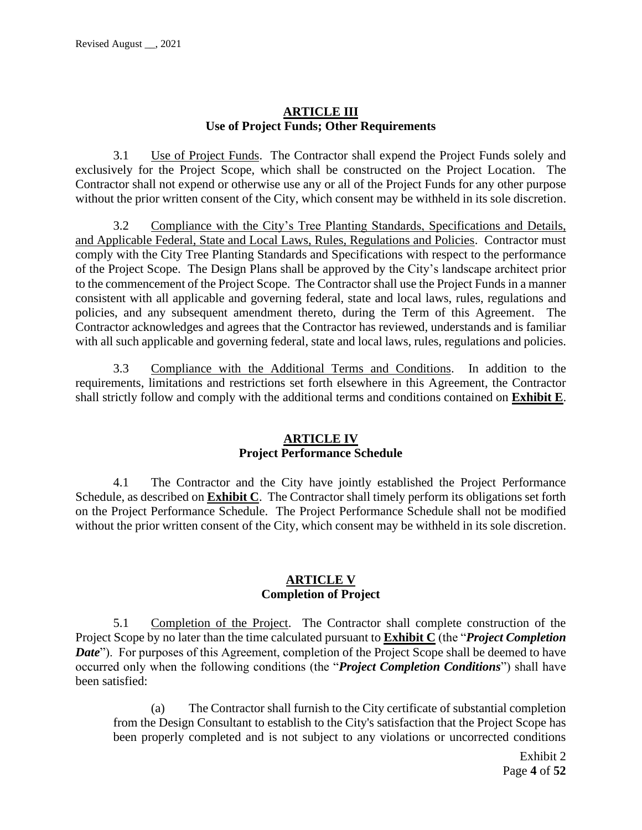# **ARTICLE III Use of Project Funds; Other Requirements**

3.1 Use of Project Funds. The Contractor shall expend the Project Funds solely and exclusively for the Project Scope, which shall be constructed on the Project Location. The Contractor shall not expend or otherwise use any or all of the Project Funds for any other purpose without the prior written consent of the City, which consent may be withheld in its sole discretion.

3.2 Compliance with the City's Tree Planting Standards, Specifications and Details, and Applicable Federal, State and Local Laws, Rules, Regulations and Policies. Contractor must comply with the City Tree Planting Standards and Specifications with respect to the performance of the Project Scope. The Design Plans shall be approved by the City's landscape architect prior to the commencement of the Project Scope. The Contractor shall use the Project Funds in a manner consistent with all applicable and governing federal, state and local laws, rules, regulations and policies, and any subsequent amendment thereto, during the Term of this Agreement. The Contractor acknowledges and agrees that the Contractor has reviewed, understands and is familiar with all such applicable and governing federal, state and local laws, rules, regulations and policies.

3.3 Compliance with the Additional Terms and Conditions. In addition to the requirements, limitations and restrictions set forth elsewhere in this Agreement, the Contractor shall strictly follow and comply with the additional terms and conditions contained on **Exhibit E**.

#### **ARTICLE IV Project Performance Schedule**

4.1 The Contractor and the City have jointly established the Project Performance Schedule, as described on **Exhibit C**. The Contractor shall timely perform its obligations set forth on the Project Performance Schedule. The Project Performance Schedule shall not be modified without the prior written consent of the City, which consent may be withheld in its sole discretion.

# **ARTICLE V Completion of Project**

5.1 Completion of the Project. The Contractor shall complete construction of the Project Scope by no later than the time calculated pursuant to **Exhibit C** (the "*Project Completion Date*"). For purposes of this Agreement, completion of the Project Scope shall be deemed to have occurred only when the following conditions (the "*Project Completion Conditions*") shall have been satisfied:

(a) The Contractor shall furnish to the City certificate of substantial completion from the Design Consultant to establish to the City's satisfaction that the Project Scope has been properly completed and is not subject to any violations or uncorrected conditions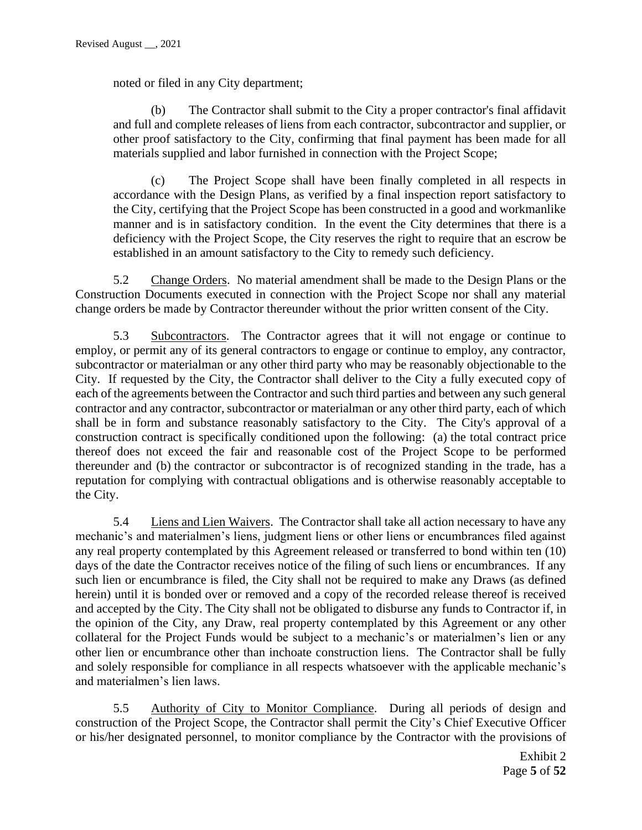noted or filed in any City department;

(b) The Contractor shall submit to the City a proper contractor's final affidavit and full and complete releases of liens from each contractor, subcontractor and supplier, or other proof satisfactory to the City, confirming that final payment has been made for all materials supplied and labor furnished in connection with the Project Scope;

(c) The Project Scope shall have been finally completed in all respects in accordance with the Design Plans, as verified by a final inspection report satisfactory to the City, certifying that the Project Scope has been constructed in a good and workmanlike manner and is in satisfactory condition. In the event the City determines that there is a deficiency with the Project Scope, the City reserves the right to require that an escrow be established in an amount satisfactory to the City to remedy such deficiency.

5.2 Change Orders. No material amendment shall be made to the Design Plans or the Construction Documents executed in connection with the Project Scope nor shall any material change orders be made by Contractor thereunder without the prior written consent of the City.

5.3 Subcontractors. The Contractor agrees that it will not engage or continue to employ, or permit any of its general contractors to engage or continue to employ, any contractor, subcontractor or materialman or any other third party who may be reasonably objectionable to the City. If requested by the City, the Contractor shall deliver to the City a fully executed copy of each of the agreements between the Contractor and such third parties and between any such general contractor and any contractor, subcontractor or materialman or any other third party, each of which shall be in form and substance reasonably satisfactory to the City. The City's approval of a construction contract is specifically conditioned upon the following: (a) the total contract price thereof does not exceed the fair and reasonable cost of the Project Scope to be performed thereunder and (b) the contractor or subcontractor is of recognized standing in the trade, has a reputation for complying with contractual obligations and is otherwise reasonably acceptable to the City.

5.4 Liens and Lien Waivers. The Contractor shall take all action necessary to have any mechanic's and materialmen's liens, judgment liens or other liens or encumbrances filed against any real property contemplated by this Agreement released or transferred to bond within ten (10) days of the date the Contractor receives notice of the filing of such liens or encumbrances. If any such lien or encumbrance is filed, the City shall not be required to make any Draws (as defined herein) until it is bonded over or removed and a copy of the recorded release thereof is received and accepted by the City. The City shall not be obligated to disburse any funds to Contractor if, in the opinion of the City, any Draw, real property contemplated by this Agreement or any other collateral for the Project Funds would be subject to a mechanic's or materialmen's lien or any other lien or encumbrance other than inchoate construction liens. The Contractor shall be fully and solely responsible for compliance in all respects whatsoever with the applicable mechanic's and materialmen's lien laws.

5.5 Authority of City to Monitor Compliance. During all periods of design and construction of the Project Scope, the Contractor shall permit the City's Chief Executive Officer or his/her designated personnel, to monitor compliance by the Contractor with the provisions of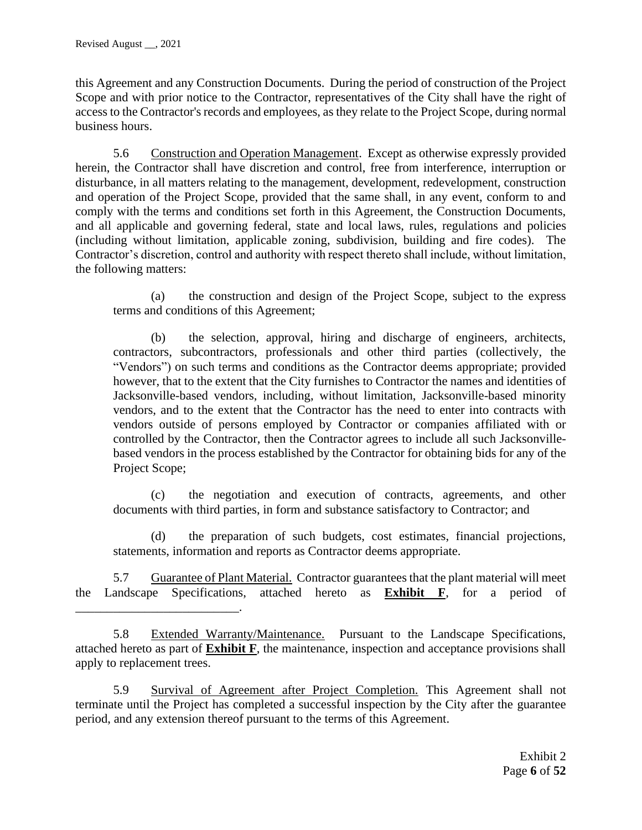\_\_\_\_\_\_\_\_\_\_\_\_\_\_\_\_\_\_\_\_\_\_\_\_\_\_.

this Agreement and any Construction Documents. During the period of construction of the Project Scope and with prior notice to the Contractor, representatives of the City shall have the right of access to the Contractor's records and employees, as they relate to the Project Scope, during normal business hours.

5.6 Construction and Operation Management. Except as otherwise expressly provided herein, the Contractor shall have discretion and control, free from interference, interruption or disturbance, in all matters relating to the management, development, redevelopment, construction and operation of the Project Scope, provided that the same shall, in any event, conform to and comply with the terms and conditions set forth in this Agreement, the Construction Documents, and all applicable and governing federal, state and local laws, rules, regulations and policies (including without limitation, applicable zoning, subdivision, building and fire codes). The Contractor's discretion, control and authority with respect thereto shall include, without limitation, the following matters:

(a) the construction and design of the Project Scope, subject to the express terms and conditions of this Agreement;

(b) the selection, approval, hiring and discharge of engineers, architects, contractors, subcontractors, professionals and other third parties (collectively, the "Vendors") on such terms and conditions as the Contractor deems appropriate; provided however, that to the extent that the City furnishes to Contractor the names and identities of Jacksonville-based vendors, including, without limitation, Jacksonville-based minority vendors, and to the extent that the Contractor has the need to enter into contracts with vendors outside of persons employed by Contractor or companies affiliated with or controlled by the Contractor, then the Contractor agrees to include all such Jacksonvillebased vendors in the process established by the Contractor for obtaining bids for any of the Project Scope;

(c) the negotiation and execution of contracts, agreements, and other documents with third parties, in form and substance satisfactory to Contractor; and

(d) the preparation of such budgets, cost estimates, financial projections, statements, information and reports as Contractor deems appropriate.

5.7 Guarantee of Plant Material. Contractor guarantees that the plant material will meet the Landscape Specifications, attached hereto as **Exhibit F**, for a period of

5.9 Survival of Agreement after Project Completion. This Agreement shall not terminate until the Project has completed a successful inspection by the City after the guarantee period, and any extension thereof pursuant to the terms of this Agreement.

<sup>5.8</sup> Extended Warranty/Maintenance. Pursuant to the Landscape Specifications, attached hereto as part of **Exhibit F**, the maintenance, inspection and acceptance provisions shall apply to replacement trees.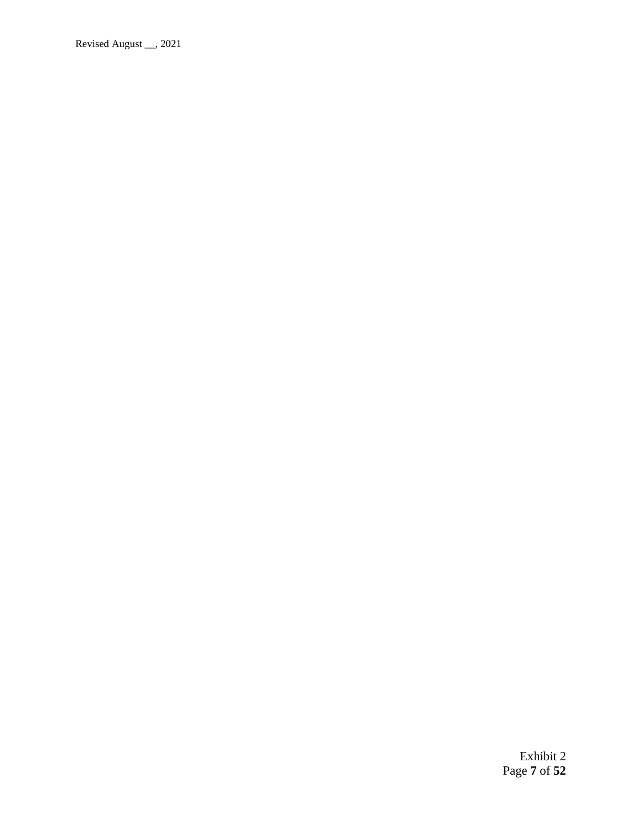Revised August \_\_, 2021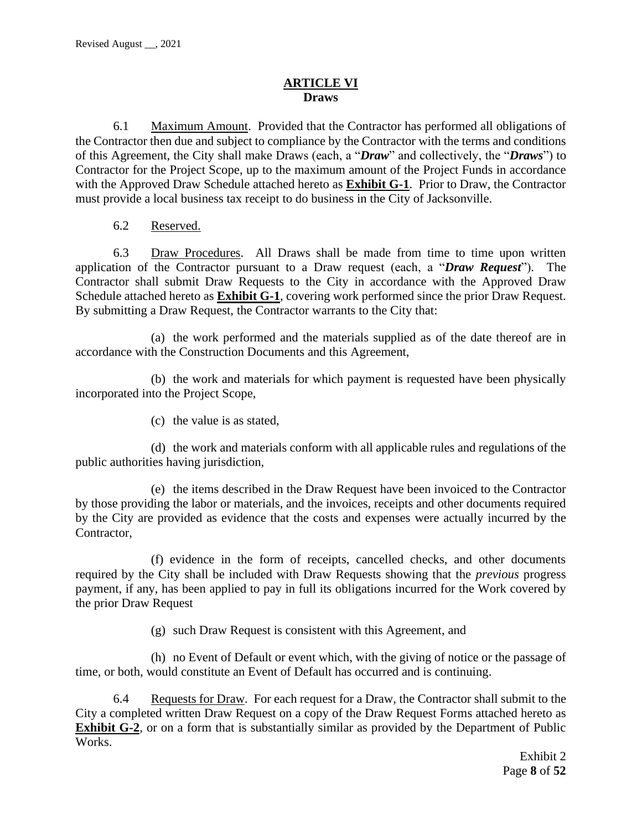# **ARTICLE VI Draws**

6.1 Maximum Amount. Provided that the Contractor has performed all obligations of the Contractor then due and subject to compliance by the Contractor with the terms and conditions of this Agreement, the City shall make Draws (each, a "*Draw*" and collectively, the "*Draws*") to Contractor for the Project Scope, up to the maximum amount of the Project Funds in accordance with the Approved Draw Schedule attached hereto as **Exhibit G-1**. Prior to Draw, the Contractor must provide a local business tax receipt to do business in the City of Jacksonville.

6.2 Reserved.

6.3 Draw Procedures. All Draws shall be made from time to time upon written application of the Contractor pursuant to a Draw request (each, a "*Draw Request*"). The Contractor shall submit Draw Requests to the City in accordance with the Approved Draw Schedule attached hereto as **Exhibit G-1**, covering work performed since the prior Draw Request. By submitting a Draw Request, the Contractor warrants to the City that:

(a) the work performed and the materials supplied as of the date thereof are in accordance with the Construction Documents and this Agreement,

(b) the work and materials for which payment is requested have been physically incorporated into the Project Scope,

(c) the value is as stated,

(d) the work and materials conform with all applicable rules and regulations of the public authorities having jurisdiction,

(e) the items described in the Draw Request have been invoiced to the Contractor by those providing the labor or materials, and the invoices, receipts and other documents required by the City are provided as evidence that the costs and expenses were actually incurred by the Contractor,

(f) evidence in the form of receipts, cancelled checks, and other documents required by the City shall be included with Draw Requests showing that the *previous* progress payment, if any, has been applied to pay in full its obligations incurred for the Work covered by the prior Draw Request

(g) such Draw Request is consistent with this Agreement, and

(h) no Event of Default or event which, with the giving of notice or the passage of time, or both, would constitute an Event of Default has occurred and is continuing.

6.4 Requests for Draw. For each request for a Draw, the Contractor shall submit to the City a completed written Draw Request on a copy of the Draw Request Forms attached hereto as **Exhibit G-2**, or on a form that is substantially similar as provided by the Department of Public Works.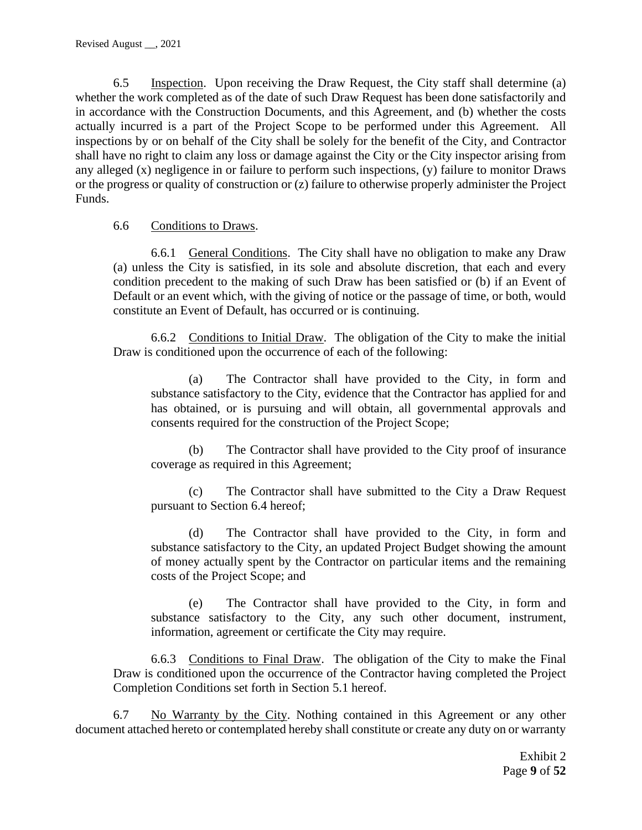6.5 Inspection. Upon receiving the Draw Request, the City staff shall determine (a) whether the work completed as of the date of such Draw Request has been done satisfactorily and in accordance with the Construction Documents, and this Agreement, and (b) whether the costs actually incurred is a part of the Project Scope to be performed under this Agreement. All inspections by or on behalf of the City shall be solely for the benefit of the City, and Contractor shall have no right to claim any loss or damage against the City or the City inspector arising from any alleged (x) negligence in or failure to perform such inspections, (y) failure to monitor Draws or the progress or quality of construction or (z) failure to otherwise properly administer the Project Funds.

# 6.6 Conditions to Draws.

6.6.1 General Conditions. The City shall have no obligation to make any Draw (a) unless the City is satisfied, in its sole and absolute discretion, that each and every condition precedent to the making of such Draw has been satisfied or (b) if an Event of Default or an event which, with the giving of notice or the passage of time, or both, would constitute an Event of Default, has occurred or is continuing.

6.6.2 Conditions to Initial Draw. The obligation of the City to make the initial Draw is conditioned upon the occurrence of each of the following:

(a) The Contractor shall have provided to the City, in form and substance satisfactory to the City, evidence that the Contractor has applied for and has obtained, or is pursuing and will obtain, all governmental approvals and consents required for the construction of the Project Scope;

(b) The Contractor shall have provided to the City proof of insurance coverage as required in this Agreement;

(c) The Contractor shall have submitted to the City a Draw Request pursuant to Section 6.4 hereof;

(d) The Contractor shall have provided to the City, in form and substance satisfactory to the City, an updated Project Budget showing the amount of money actually spent by the Contractor on particular items and the remaining costs of the Project Scope; and

(e) The Contractor shall have provided to the City, in form and substance satisfactory to the City, any such other document, instrument, information, agreement or certificate the City may require.

6.6.3 Conditions to Final Draw. The obligation of the City to make the Final Draw is conditioned upon the occurrence of the Contractor having completed the Project Completion Conditions set forth in Section 5.1 hereof.

6.7 No Warranty by the City. Nothing contained in this Agreement or any other document attached hereto or contemplated hereby shall constitute or create any duty on or warranty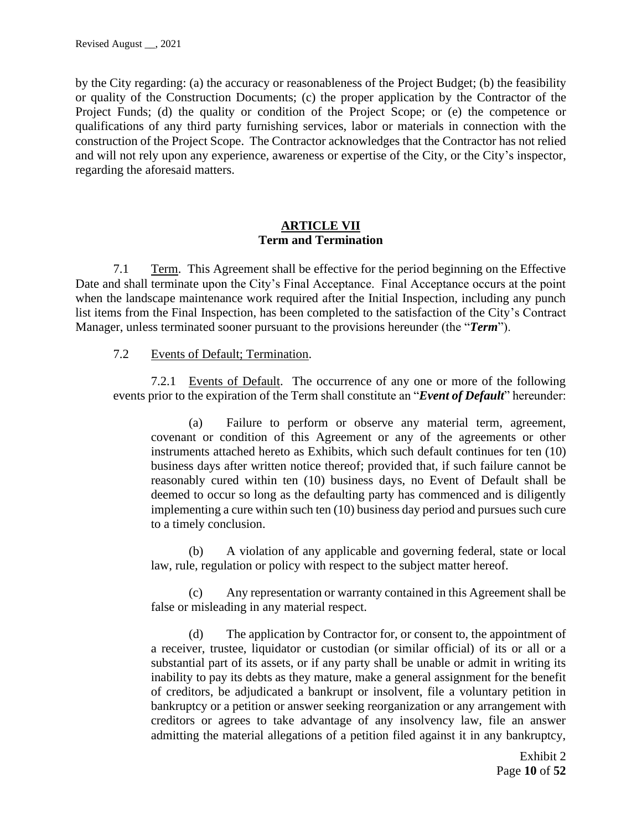by the City regarding: (a) the accuracy or reasonableness of the Project Budget; (b) the feasibility or quality of the Construction Documents; (c) the proper application by the Contractor of the Project Funds; (d) the quality or condition of the Project Scope; or (e) the competence or qualifications of any third party furnishing services, labor or materials in connection with the construction of the Project Scope. The Contractor acknowledges that the Contractor has not relied and will not rely upon any experience, awareness or expertise of the City, or the City's inspector, regarding the aforesaid matters.

# **ARTICLE VII Term and Termination**

7.1 Term. This Agreement shall be effective for the period beginning on the Effective Date and shall terminate upon the City's Final Acceptance. Final Acceptance occurs at the point when the landscape maintenance work required after the Initial Inspection, including any punch list items from the Final Inspection, has been completed to the satisfaction of the City's Contract Manager, unless terminated sooner pursuant to the provisions hereunder (the "*Term*").

# 7.2 Events of Default; Termination.

7.2.1 Events of Default. The occurrence of any one or more of the following events prior to the expiration of the Term shall constitute an "*Event of Default*" hereunder:

(a) Failure to perform or observe any material term, agreement, covenant or condition of this Agreement or any of the agreements or other instruments attached hereto as Exhibits, which such default continues for ten (10) business days after written notice thereof; provided that, if such failure cannot be reasonably cured within ten (10) business days, no Event of Default shall be deemed to occur so long as the defaulting party has commenced and is diligently implementing a cure within such ten (10) business day period and pursues such cure to a timely conclusion.

(b) A violation of any applicable and governing federal, state or local law, rule, regulation or policy with respect to the subject matter hereof.

(c) Any representation or warranty contained in this Agreement shall be false or misleading in any material respect.

(d) The application by Contractor for, or consent to, the appointment of a receiver, trustee, liquidator or custodian (or similar official) of its or all or a substantial part of its assets, or if any party shall be unable or admit in writing its inability to pay its debts as they mature, make a general assignment for the benefit of creditors, be adjudicated a bankrupt or insolvent, file a voluntary petition in bankruptcy or a petition or answer seeking reorganization or any arrangement with creditors or agrees to take advantage of any insolvency law, file an answer admitting the material allegations of a petition filed against it in any bankruptcy,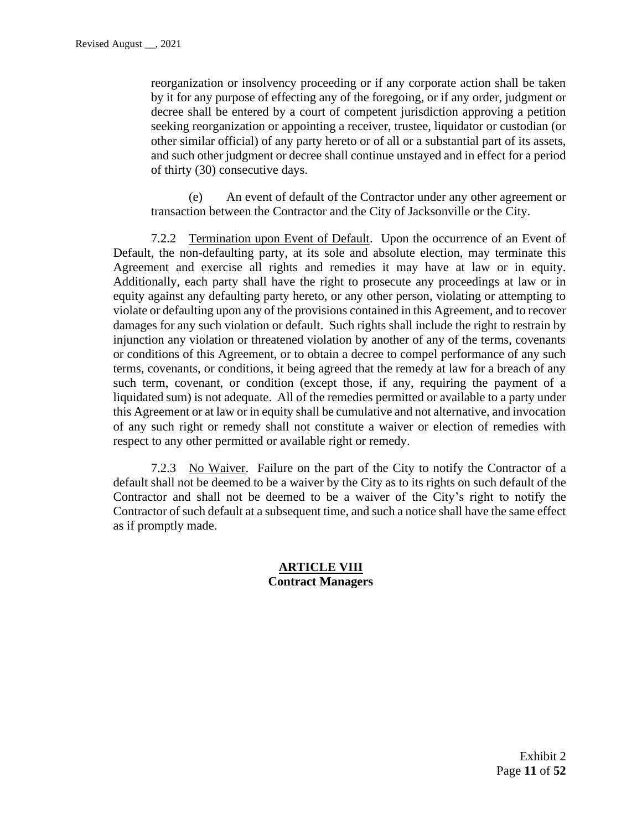reorganization or insolvency proceeding or if any corporate action shall be taken by it for any purpose of effecting any of the foregoing, or if any order, judgment or decree shall be entered by a court of competent jurisdiction approving a petition seeking reorganization or appointing a receiver, trustee, liquidator or custodian (or other similar official) of any party hereto or of all or a substantial part of its assets, and such other judgment or decree shall continue unstayed and in effect for a period of thirty (30) consecutive days.

(e) An event of default of the Contractor under any other agreement or transaction between the Contractor and the City of Jacksonville or the City.

7.2.2 Termination upon Event of Default. Upon the occurrence of an Event of Default, the non-defaulting party, at its sole and absolute election, may terminate this Agreement and exercise all rights and remedies it may have at law or in equity. Additionally, each party shall have the right to prosecute any proceedings at law or in equity against any defaulting party hereto, or any other person, violating or attempting to violate or defaulting upon any of the provisions contained in this Agreement, and to recover damages for any such violation or default. Such rights shall include the right to restrain by injunction any violation or threatened violation by another of any of the terms, covenants or conditions of this Agreement, or to obtain a decree to compel performance of any such terms, covenants, or conditions, it being agreed that the remedy at law for a breach of any such term, covenant, or condition (except those, if any, requiring the payment of a liquidated sum) is not adequate. All of the remedies permitted or available to a party under this Agreement or at law or in equity shall be cumulative and not alternative, and invocation of any such right or remedy shall not constitute a waiver or election of remedies with respect to any other permitted or available right or remedy.

7.2.3 No Waiver. Failure on the part of the City to notify the Contractor of a default shall not be deemed to be a waiver by the City as to its rights on such default of the Contractor and shall not be deemed to be a waiver of the City's right to notify the Contractor of such default at a subsequent time, and such a notice shall have the same effect as if promptly made.

#### **ARTICLE VIII Contract Managers**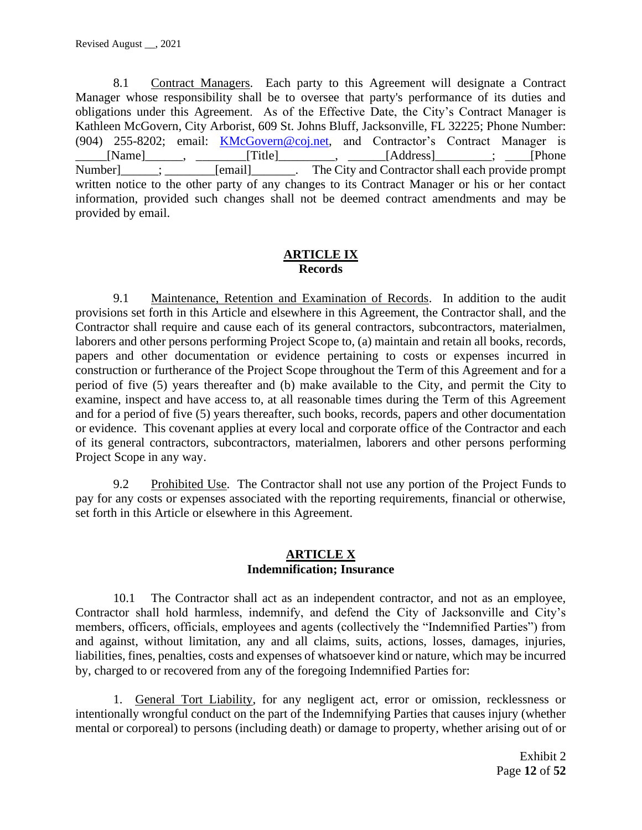8.1 Contract Managers. Each party to this Agreement will designate a Contract Manager whose responsibility shall be to oversee that party's performance of its duties and obligations under this Agreement. As of the Effective Date, the City's Contract Manager is Kathleen McGovern, City Arborist, 609 St. Johns Bluff, Jacksonville, FL 32225; Phone Number: (904) 255-8202; email: [KMcGovern@coj.net,](mailto:KMcGovern@coj.net) and Contractor's Contract Manager is  $\text{[Name]}$ ,  $\text{[Title]}$ ,  $\text{[File]}$ ,  $\text{[Address]}$   $\text{[Phone]}$ Number  $\Box$   $\Box$  [email]  $\Box$  The City and Contractor shall each provide prompt written notice to the other party of any changes to its Contract Manager or his or her contact information, provided such changes shall not be deemed contract amendments and may be provided by email.

### **ARTICLE IX Records**

9.1 Maintenance, Retention and Examination of Records. In addition to the audit provisions set forth in this Article and elsewhere in this Agreement, the Contractor shall, and the Contractor shall require and cause each of its general contractors, subcontractors, materialmen, laborers and other persons performing Project Scope to, (a) maintain and retain all books, records, papers and other documentation or evidence pertaining to costs or expenses incurred in construction or furtherance of the Project Scope throughout the Term of this Agreement and for a period of five (5) years thereafter and (b) make available to the City, and permit the City to examine, inspect and have access to, at all reasonable times during the Term of this Agreement and for a period of five (5) years thereafter, such books, records, papers and other documentation or evidence. This covenant applies at every local and corporate office of the Contractor and each of its general contractors, subcontractors, materialmen, laborers and other persons performing Project Scope in any way.

9.2 Prohibited Use. The Contractor shall not use any portion of the Project Funds to pay for any costs or expenses associated with the reporting requirements, financial or otherwise, set forth in this Article or elsewhere in this Agreement.

#### **ARTICLE X Indemnification; Insurance**

10.1 The Contractor shall act as an independent contractor, and not as an employee, Contractor shall hold harmless, indemnify, and defend the City of Jacksonville and City's members, officers, officials, employees and agents (collectively the "Indemnified Parties") from and against, without limitation, any and all claims, suits, actions, losses, damages, injuries, liabilities, fines, penalties, costs and expenses of whatsoever kind or nature, which may be incurred by, charged to or recovered from any of the foregoing Indemnified Parties for:

1. General Tort Liability, for any negligent act, error or omission, recklessness or intentionally wrongful conduct on the part of the Indemnifying Parties that causes injury (whether mental or corporeal) to persons (including death) or damage to property, whether arising out of or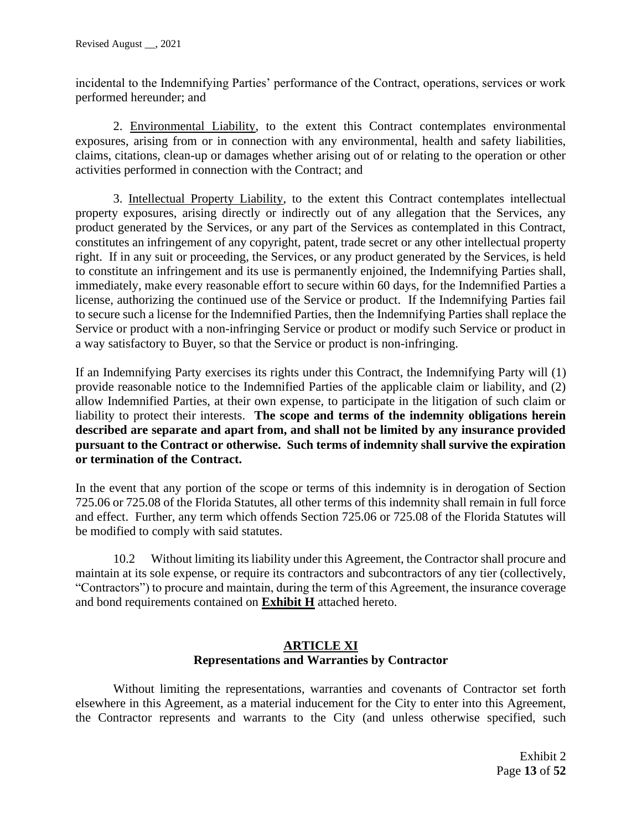incidental to the Indemnifying Parties' performance of the Contract, operations, services or work performed hereunder; and

2. Environmental Liability, to the extent this Contract contemplates environmental exposures, arising from or in connection with any environmental, health and safety liabilities, claims, citations, clean-up or damages whether arising out of or relating to the operation or other activities performed in connection with the Contract; and

3. Intellectual Property Liability, to the extent this Contract contemplates intellectual property exposures, arising directly or indirectly out of any allegation that the Services, any product generated by the Services, or any part of the Services as contemplated in this Contract, constitutes an infringement of any copyright, patent, trade secret or any other intellectual property right. If in any suit or proceeding, the Services, or any product generated by the Services, is held to constitute an infringement and its use is permanently enjoined, the Indemnifying Parties shall, immediately, make every reasonable effort to secure within 60 days, for the Indemnified Parties a license, authorizing the continued use of the Service or product. If the Indemnifying Parties fail to secure such a license for the Indemnified Parties, then the Indemnifying Parties shall replace the Service or product with a non-infringing Service or product or modify such Service or product in a way satisfactory to Buyer, so that the Service or product is non-infringing.

If an Indemnifying Party exercises its rights under this Contract, the Indemnifying Party will (1) provide reasonable notice to the Indemnified Parties of the applicable claim or liability, and (2) allow Indemnified Parties, at their own expense, to participate in the litigation of such claim or liability to protect their interests. **The scope and terms of the indemnity obligations herein described are separate and apart from, and shall not be limited by any insurance provided pursuant to the Contract or otherwise. Such terms of indemnity shall survive the expiration or termination of the Contract.**

In the event that any portion of the scope or terms of this indemnity is in derogation of Section 725.06 or 725.08 of the Florida Statutes, all other terms of this indemnity shall remain in full force and effect. Further, any term which offends Section 725.06 or 725.08 of the Florida Statutes will be modified to comply with said statutes.

10.2 Without limiting its liability under this Agreement, the Contractor shall procure and maintain at its sole expense, or require its contractors and subcontractors of any tier (collectively, "Contractors") to procure and maintain, during the term of this Agreement, the insurance coverage and bond requirements contained on **Exhibit H** attached hereto.

# **ARTICLE XI Representations and Warranties by Contractor**

Without limiting the representations, warranties and covenants of Contractor set forth elsewhere in this Agreement, as a material inducement for the City to enter into this Agreement, the Contractor represents and warrants to the City (and unless otherwise specified, such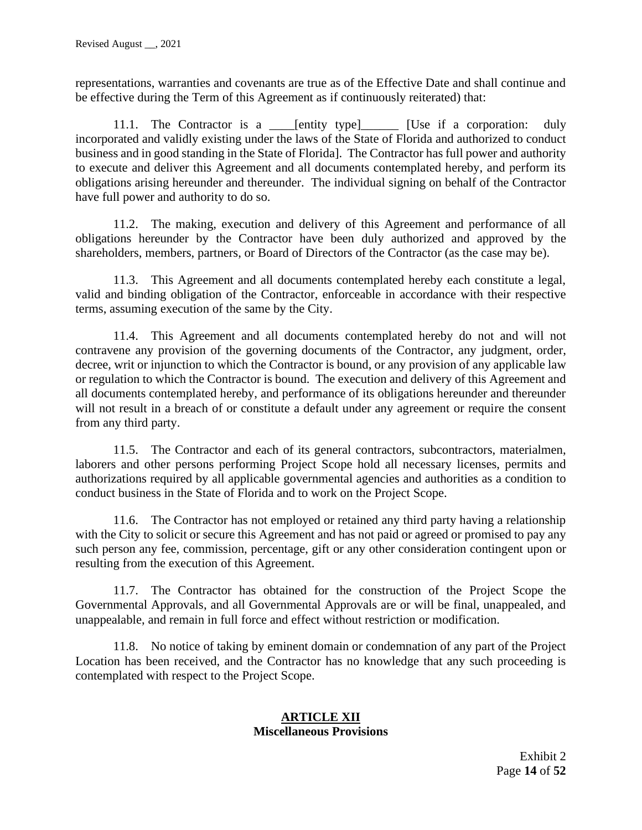representations, warranties and covenants are true as of the Effective Date and shall continue and be effective during the Term of this Agreement as if continuously reiterated) that:

11.1. The Contractor is a \_\_\_\_[entity type]\_\_\_\_\_\_ [Use if a corporation: duly incorporated and validly existing under the laws of the State of Florida and authorized to conduct business and in good standing in the State of Florida]. The Contractor has full power and authority to execute and deliver this Agreement and all documents contemplated hereby, and perform its obligations arising hereunder and thereunder. The individual signing on behalf of the Contractor have full power and authority to do so.

11.2. The making, execution and delivery of this Agreement and performance of all obligations hereunder by the Contractor have been duly authorized and approved by the shareholders, members, partners, or Board of Directors of the Contractor (as the case may be).

11.3. This Agreement and all documents contemplated hereby each constitute a legal, valid and binding obligation of the Contractor, enforceable in accordance with their respective terms, assuming execution of the same by the City.

11.4. This Agreement and all documents contemplated hereby do not and will not contravene any provision of the governing documents of the Contractor, any judgment, order, decree, writ or injunction to which the Contractor is bound, or any provision of any applicable law or regulation to which the Contractor is bound. The execution and delivery of this Agreement and all documents contemplated hereby, and performance of its obligations hereunder and thereunder will not result in a breach of or constitute a default under any agreement or require the consent from any third party.

11.5. The Contractor and each of its general contractors, subcontractors, materialmen, laborers and other persons performing Project Scope hold all necessary licenses, permits and authorizations required by all applicable governmental agencies and authorities as a condition to conduct business in the State of Florida and to work on the Project Scope.

11.6. The Contractor has not employed or retained any third party having a relationship with the City to solicit or secure this Agreement and has not paid or agreed or promised to pay any such person any fee, commission, percentage, gift or any other consideration contingent upon or resulting from the execution of this Agreement.

11.7. The Contractor has obtained for the construction of the Project Scope the Governmental Approvals, and all Governmental Approvals are or will be final, unappealed, and unappealable, and remain in full force and effect without restriction or modification.

11.8. No notice of taking by eminent domain or condemnation of any part of the Project Location has been received, and the Contractor has no knowledge that any such proceeding is contemplated with respect to the Project Scope.

#### **ARTICLE XII Miscellaneous Provisions**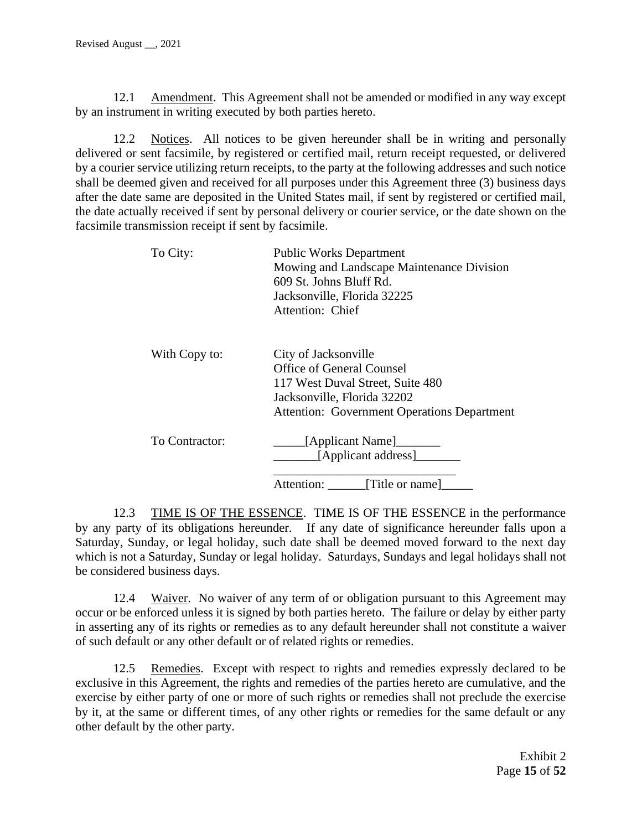12.1 Amendment. This Agreement shall not be amended or modified in any way except by an instrument in writing executed by both parties hereto.

12.2 Notices. All notices to be given hereunder shall be in writing and personally delivered or sent facsimile, by registered or certified mail, return receipt requested, or delivered by a courier service utilizing return receipts, to the party at the following addresses and such notice shall be deemed given and received for all purposes under this Agreement three (3) business days after the date same are deposited in the United States mail, if sent by registered or certified mail, the date actually received if sent by personal delivery or courier service, or the date shown on the facsimile transmission receipt if sent by facsimile.

| To City:       | <b>Public Works Department</b><br>Mowing and Landscape Maintenance Division<br>609 St. Johns Bluff Rd.<br>Jacksonville, Florida 32225<br>Attention: Chief                  |
|----------------|----------------------------------------------------------------------------------------------------------------------------------------------------------------------------|
| With Copy to:  | City of Jacksonville<br>Office of General Counsel<br>117 West Duval Street, Suite 480<br>Jacksonville, Florida 32202<br><b>Attention: Government Operations Department</b> |
| To Contractor: | [Applicant address]<br>Attention: [Title or name]                                                                                                                          |

12.3 TIME IS OF THE ESSENCE. TIME IS OF THE ESSENCE in the performance by any party of its obligations hereunder. If any date of significance hereunder falls upon a Saturday, Sunday, or legal holiday, such date shall be deemed moved forward to the next day which is not a Saturday, Sunday or legal holiday. Saturdays, Sundays and legal holidays shall not be considered business days.

12.4 Waiver. No waiver of any term of or obligation pursuant to this Agreement may occur or be enforced unless it is signed by both parties hereto. The failure or delay by either party in asserting any of its rights or remedies as to any default hereunder shall not constitute a waiver of such default or any other default or of related rights or remedies.

12.5 Remedies. Except with respect to rights and remedies expressly declared to be exclusive in this Agreement, the rights and remedies of the parties hereto are cumulative, and the exercise by either party of one or more of such rights or remedies shall not preclude the exercise by it, at the same or different times, of any other rights or remedies for the same default or any other default by the other party.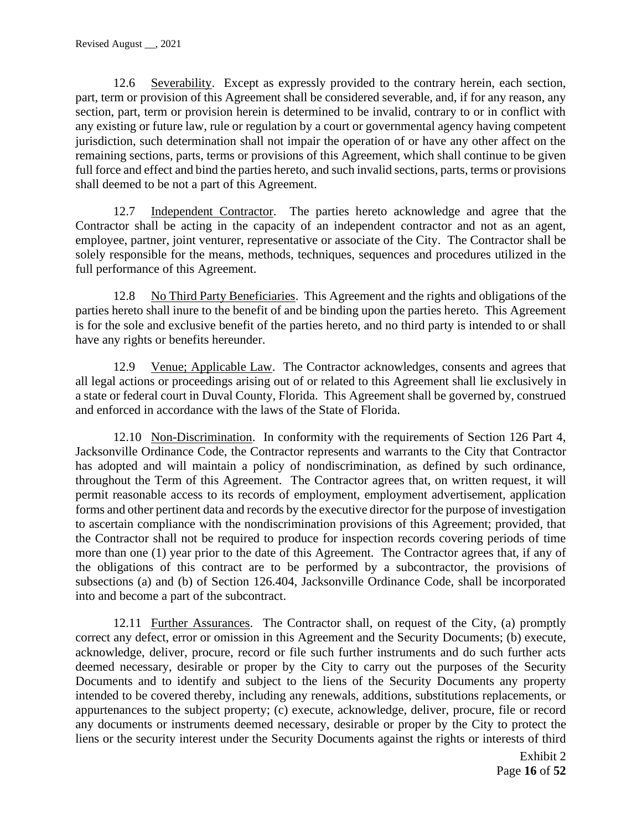12.6 Severability. Except as expressly provided to the contrary herein, each section, part, term or provision of this Agreement shall be considered severable, and, if for any reason, any section, part, term or provision herein is determined to be invalid, contrary to or in conflict with any existing or future law, rule or regulation by a court or governmental agency having competent jurisdiction, such determination shall not impair the operation of or have any other affect on the remaining sections, parts, terms or provisions of this Agreement, which shall continue to be given full force and effect and bind the parties hereto, and such invalid sections, parts, terms or provisions shall deemed to be not a part of this Agreement.

12.7 Independent Contractor. The parties hereto acknowledge and agree that the Contractor shall be acting in the capacity of an independent contractor and not as an agent, employee, partner, joint venturer, representative or associate of the City. The Contractor shall be solely responsible for the means, methods, techniques, sequences and procedures utilized in the full performance of this Agreement.

12.8 No Third Party Beneficiaries. This Agreement and the rights and obligations of the parties hereto shall inure to the benefit of and be binding upon the parties hereto. This Agreement is for the sole and exclusive benefit of the parties hereto, and no third party is intended to or shall have any rights or benefits hereunder.

12.9 Venue; Applicable Law. The Contractor acknowledges, consents and agrees that all legal actions or proceedings arising out of or related to this Agreement shall lie exclusively in a state or federal court in Duval County, Florida. This Agreement shall be governed by, construed and enforced in accordance with the laws of the State of Florida.

12.10 Non-Discrimination. In conformity with the requirements of Section 126 Part 4, Jacksonville Ordinance Code, the Contractor represents and warrants to the City that Contractor has adopted and will maintain a policy of nondiscrimination, as defined by such ordinance, throughout the Term of this Agreement. The Contractor agrees that, on written request, it will permit reasonable access to its records of employment, employment advertisement, application forms and other pertinent data and records by the executive director for the purpose of investigation to ascertain compliance with the nondiscrimination provisions of this Agreement; provided, that the Contractor shall not be required to produce for inspection records covering periods of time more than one (1) year prior to the date of this Agreement. The Contractor agrees that, if any of the obligations of this contract are to be performed by a subcontractor, the provisions of subsections (a) and (b) of Section 126.404, Jacksonville Ordinance Code, shall be incorporated into and become a part of the subcontract.

12.11 Further Assurances. The Contractor shall, on request of the City, (a) promptly correct any defect, error or omission in this Agreement and the Security Documents; (b) execute, acknowledge, deliver, procure, record or file such further instruments and do such further acts deemed necessary, desirable or proper by the City to carry out the purposes of the Security Documents and to identify and subject to the liens of the Security Documents any property intended to be covered thereby, including any renewals, additions, substitutions replacements, or appurtenances to the subject property; (c) execute, acknowledge, deliver, procure, file or record any documents or instruments deemed necessary, desirable or proper by the City to protect the liens or the security interest under the Security Documents against the rights or interests of third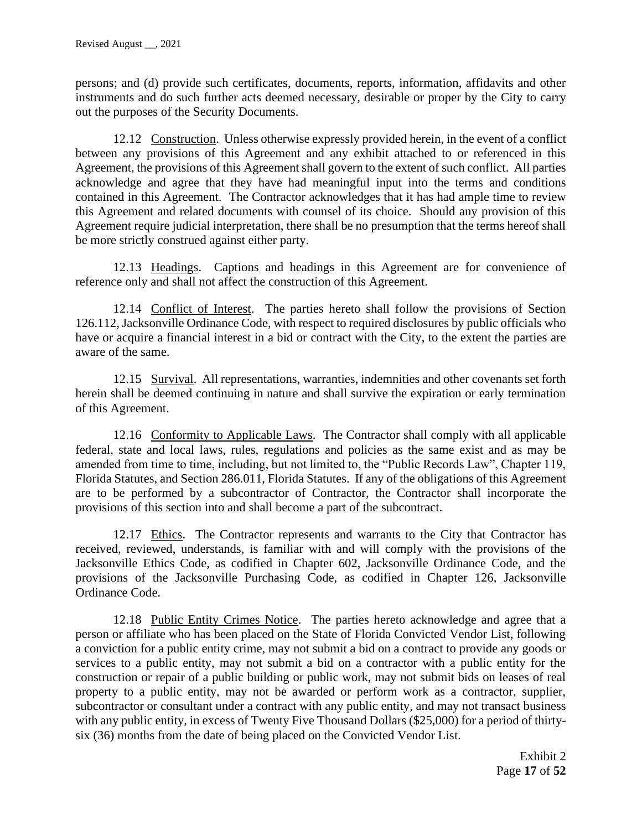persons; and (d) provide such certificates, documents, reports, information, affidavits and other instruments and do such further acts deemed necessary, desirable or proper by the City to carry out the purposes of the Security Documents.

12.12 Construction. Unless otherwise expressly provided herein, in the event of a conflict between any provisions of this Agreement and any exhibit attached to or referenced in this Agreement, the provisions of this Agreement shall govern to the extent of such conflict. All parties acknowledge and agree that they have had meaningful input into the terms and conditions contained in this Agreement. The Contractor acknowledges that it has had ample time to review this Agreement and related documents with counsel of its choice. Should any provision of this Agreement require judicial interpretation, there shall be no presumption that the terms hereof shall be more strictly construed against either party.

12.13 Headings. Captions and headings in this Agreement are for convenience of reference only and shall not affect the construction of this Agreement.

12.14 Conflict of Interest. The parties hereto shall follow the provisions of Section 126.112, Jacksonville Ordinance Code, with respect to required disclosures by public officials who have or acquire a financial interest in a bid or contract with the City, to the extent the parties are aware of the same.

12.15 Survival. All representations, warranties, indemnities and other covenants set forth herein shall be deemed continuing in nature and shall survive the expiration or early termination of this Agreement.

12.16 Conformity to Applicable Laws. The Contractor shall comply with all applicable federal, state and local laws, rules, regulations and policies as the same exist and as may be amended from time to time, including, but not limited to, the "Public Records Law", Chapter 119, Florida Statutes, and Section 286.011, Florida Statutes. If any of the obligations of this Agreement are to be performed by a subcontractor of Contractor, the Contractor shall incorporate the provisions of this section into and shall become a part of the subcontract.

12.17 Ethics. The Contractor represents and warrants to the City that Contractor has received, reviewed, understands, is familiar with and will comply with the provisions of the Jacksonville Ethics Code, as codified in Chapter 602, Jacksonville Ordinance Code, and the provisions of the Jacksonville Purchasing Code, as codified in Chapter 126, Jacksonville Ordinance Code.

12.18 Public Entity Crimes Notice. The parties hereto acknowledge and agree that a person or affiliate who has been placed on the State of Florida Convicted Vendor List, following a conviction for a public entity crime, may not submit a bid on a contract to provide any goods or services to a public entity, may not submit a bid on a contractor with a public entity for the construction or repair of a public building or public work, may not submit bids on leases of real property to a public entity, may not be awarded or perform work as a contractor, supplier, subcontractor or consultant under a contract with any public entity, and may not transact business with any public entity, in excess of Twenty Five Thousand Dollars (\$25,000) for a period of thirtysix (36) months from the date of being placed on the Convicted Vendor List.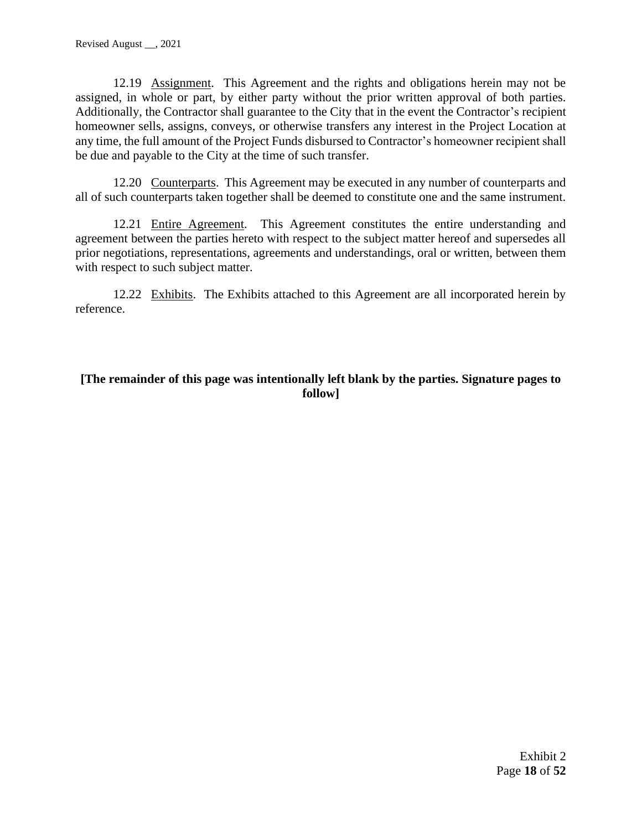12.19 Assignment. This Agreement and the rights and obligations herein may not be assigned, in whole or part, by either party without the prior written approval of both parties. Additionally, the Contractor shall guarantee to the City that in the event the Contractor's recipient homeowner sells, assigns, conveys, or otherwise transfers any interest in the Project Location at any time, the full amount of the Project Funds disbursed to Contractor's homeowner recipient shall be due and payable to the City at the time of such transfer.

12.20 Counterparts. This Agreement may be executed in any number of counterparts and all of such counterparts taken together shall be deemed to constitute one and the same instrument.

12.21 Entire Agreement. This Agreement constitutes the entire understanding and agreement between the parties hereto with respect to the subject matter hereof and supersedes all prior negotiations, representations, agreements and understandings, oral or written, between them with respect to such subject matter.

12.22 Exhibits. The Exhibits attached to this Agreement are all incorporated herein by reference.

# **[The remainder of this page was intentionally left blank by the parties. Signature pages to follow]**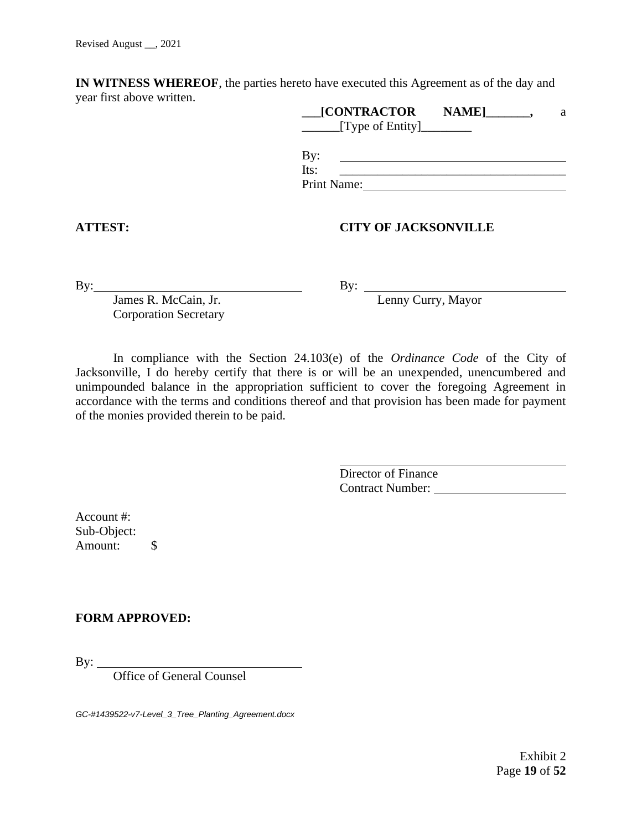**IN WITNESS WHEREOF**, the parties hereto have executed this Agreement as of the day and year first above written.

|      | <b>[CONTRACTOR</b>     | <b>NAME</b> |  |
|------|------------------------|-------------|--|
|      | $[T$ ype of Entity $]$ |             |  |
|      |                        |             |  |
| By:  |                        |             |  |
| Its: |                        |             |  |

Print Name:

# **ATTEST: CITY OF JACKSONVILLE**

By: By:

James R. McCain, Jr. By: Lenny Curry, Mayor

In compliance with the Section 24.103(e) of the *Ordinance Code* of the City of Jacksonville, I do hereby certify that there is or will be an unexpended, unencumbered and unimpounded balance in the appropriation sufficient to cover the foregoing Agreement in accordance with the terms and conditions thereof and that provision has been made for payment of the monies provided therein to be paid.

> Director of Finance Contract Number:

Account #: Sub-Object: Amount: \$

# **FORM APPROVED:**

 $By:$ 

Office of General Counsel

Corporation Secretary

*GC-#1439522-v7-Level\_3\_Tree\_Planting\_Agreement.docx*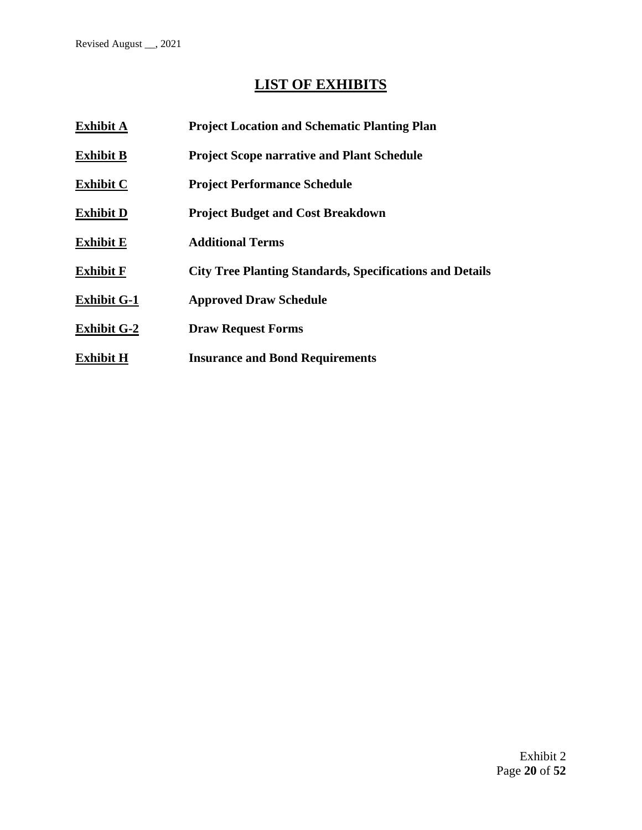# **LIST OF EXHIBITS**

| <b>Exhibit A</b>   | <b>Project Location and Schematic Planting Plan</b>             |
|--------------------|-----------------------------------------------------------------|
| <b>Exhibit B</b>   | <b>Project Scope narrative and Plant Schedule</b>               |
| <b>Exhibit C</b>   | <b>Project Performance Schedule</b>                             |
| <b>Exhibit D</b>   | <b>Project Budget and Cost Breakdown</b>                        |
| <b>Exhibit E</b>   | <b>Additional Terms</b>                                         |
| <b>Exhibit F</b>   | <b>City Tree Planting Standards, Specifications and Details</b> |
| <b>Exhibit G-1</b> | <b>Approved Draw Schedule</b>                                   |
| <b>Exhibit G-2</b> | <b>Draw Request Forms</b>                                       |
| <b>Exhibit H</b>   | <b>Insurance and Bond Requirements</b>                          |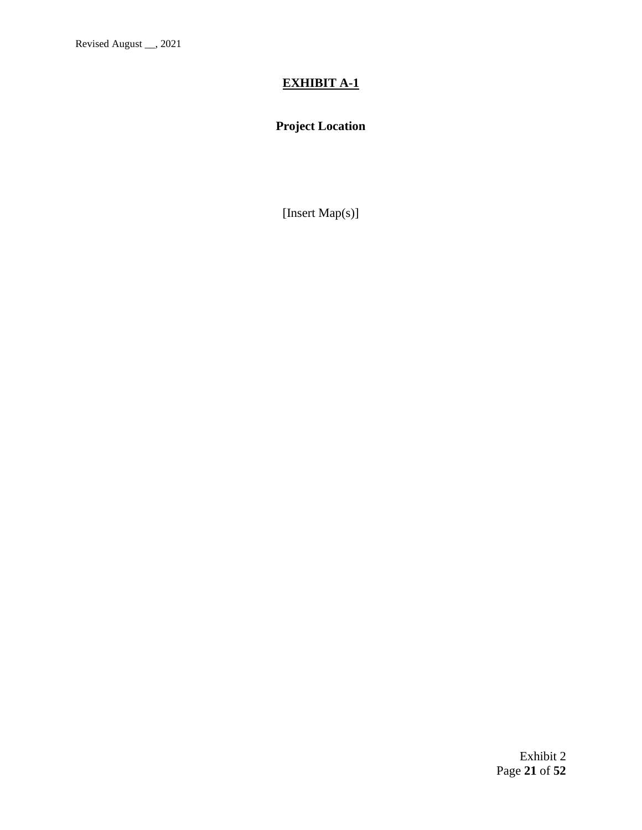# **EXHIBIT A-1**

# **Project Location**

[Insert Map(s)]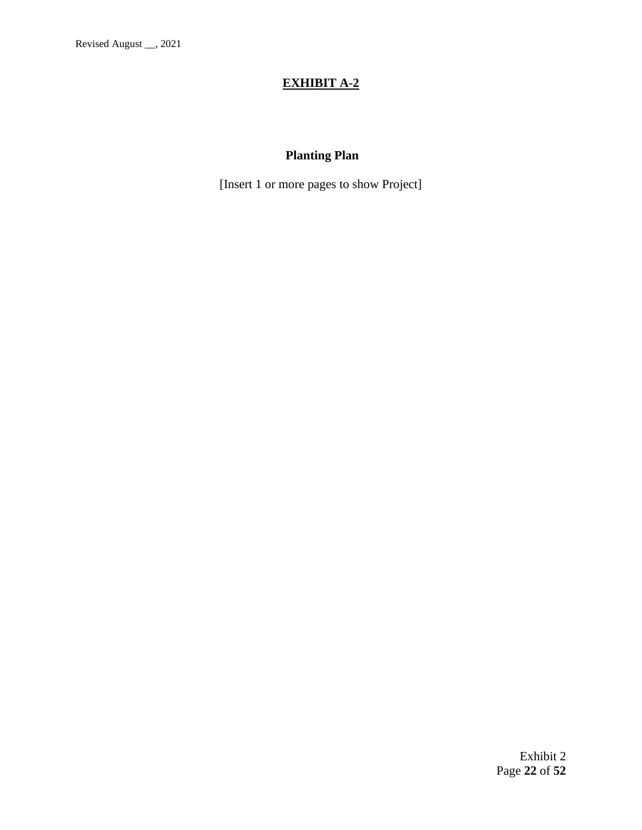# **EXHIBIT A-2**

# **Planting Plan**

[Insert 1 or more pages to show Project]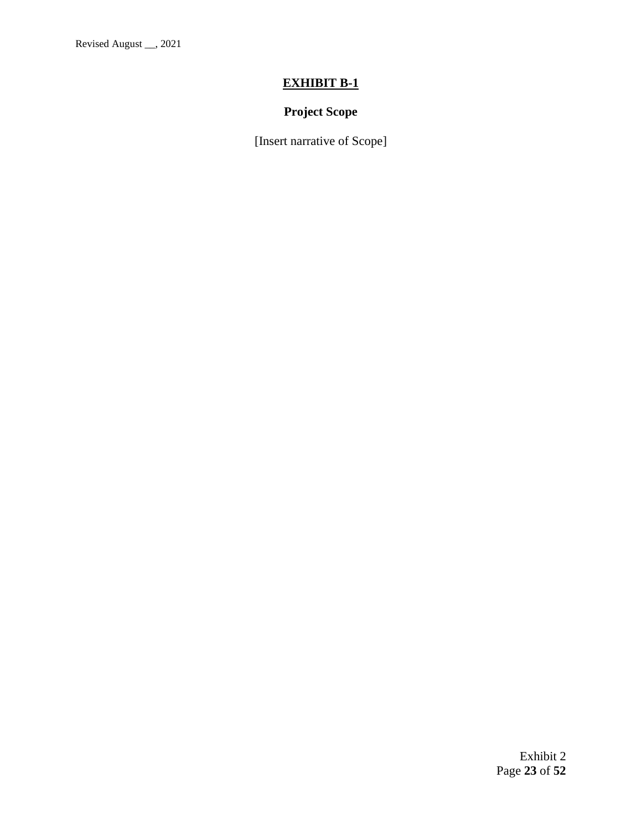# **EXHIBIT B-1**

# **Project Scope**

[Insert narrative of Scope]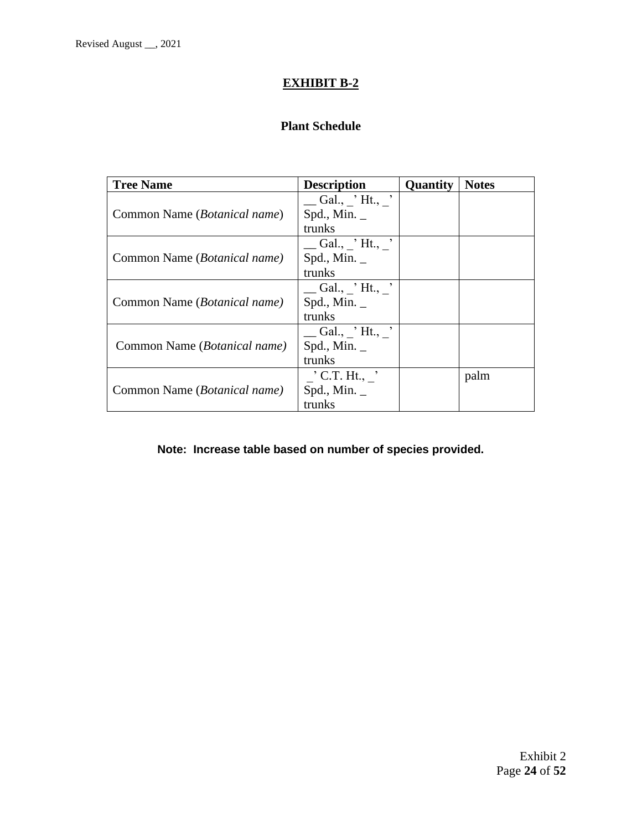# **EXHIBIT B-2**

# **Plant Schedule**

| <b>Tree Name</b>                      | <b>Description</b>                                   | Quantity | <b>Notes</b> |
|---------------------------------------|------------------------------------------------------|----------|--------------|
|                                       | $_{\mathsf{I}}$ Gal., $\mathsf{I}$ Ht., $\mathsf{I}$ |          |              |
| Common Name (Botanical name)          | Spd., Min. $\_$                                      |          |              |
|                                       | trunks                                               |          |              |
|                                       | $\_$ Gal., $\dot{ }$ Ht., $\dot{ }$                  |          |              |
| Common Name ( <i>Botanical name</i> ) | Spd., Min. $_{-}$                                    |          |              |
|                                       | trunks                                               |          |              |
|                                       | Gal., $'$ Ht., $'$                                   |          |              |
| Common Name ( <i>Botanical name</i> ) | Spd., Min. $\_$                                      |          |              |
|                                       | trunks                                               |          |              |
|                                       | $\_$ Gal., $\,$ $\,$ Ht., $\,$                       |          |              |
| Common Name ( <i>Botanical name</i> ) | Spd., Min. $\_$                                      |          |              |
|                                       | trunks                                               |          |              |
|                                       | $^{\circ}$ C.T. Ht., $^{\circ}$                      |          | palm         |
| Common Name ( <i>Botanical name</i> ) | Spd., Min. $\overline{\phantom{a}}$                  |          |              |
|                                       | trunks                                               |          |              |

**Note: Increase table based on number of species provided.**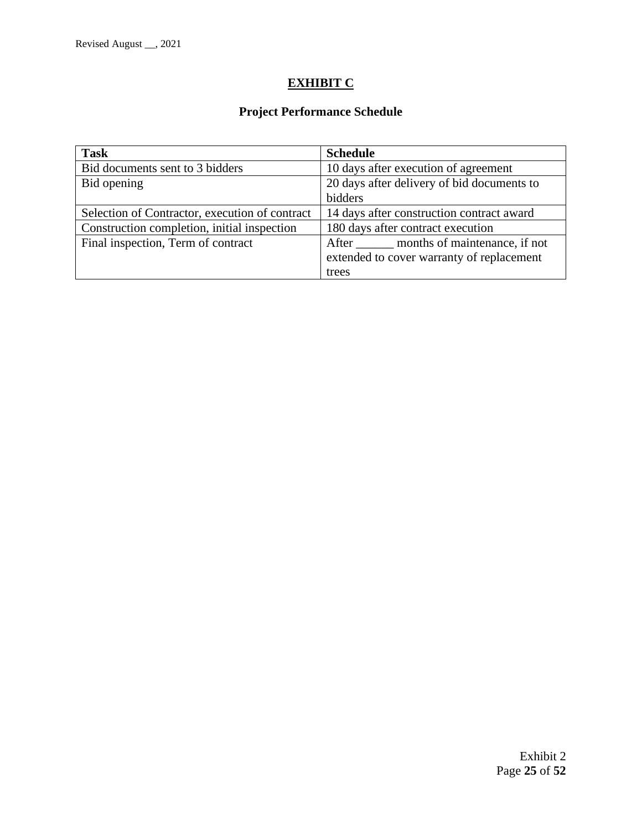# **EXHIBIT C**

# **Project Performance Schedule**

| <b>Task</b>                                    | <b>Schedule</b>                             |
|------------------------------------------------|---------------------------------------------|
| Bid documents sent to 3 bidders                | 10 days after execution of agreement        |
| Bid opening                                    | 20 days after delivery of bid documents to  |
|                                                | bidders                                     |
| Selection of Contractor, execution of contract | 14 days after construction contract award   |
| Construction completion, initial inspection    | 180 days after contract execution           |
| Final inspection, Term of contract             | After _______ months of maintenance, if not |
|                                                | extended to cover warranty of replacement   |
|                                                | trees                                       |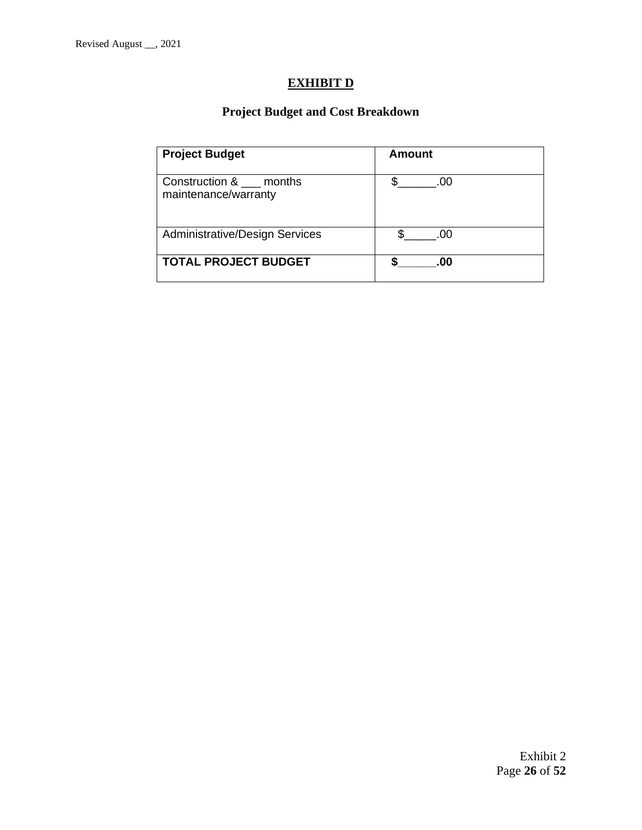# **EXHIBIT D**

# **Project Budget and Cost Breakdown**

| <b>Project Budget</b>                              | Amount     |
|----------------------------------------------------|------------|
| Construction & ____ months<br>maintenance/warranty | \$.<br>.00 |
| <b>Administrative/Design Services</b>              | .00        |
| <b>TOTAL PROJECT BUDGET</b>                        | .00        |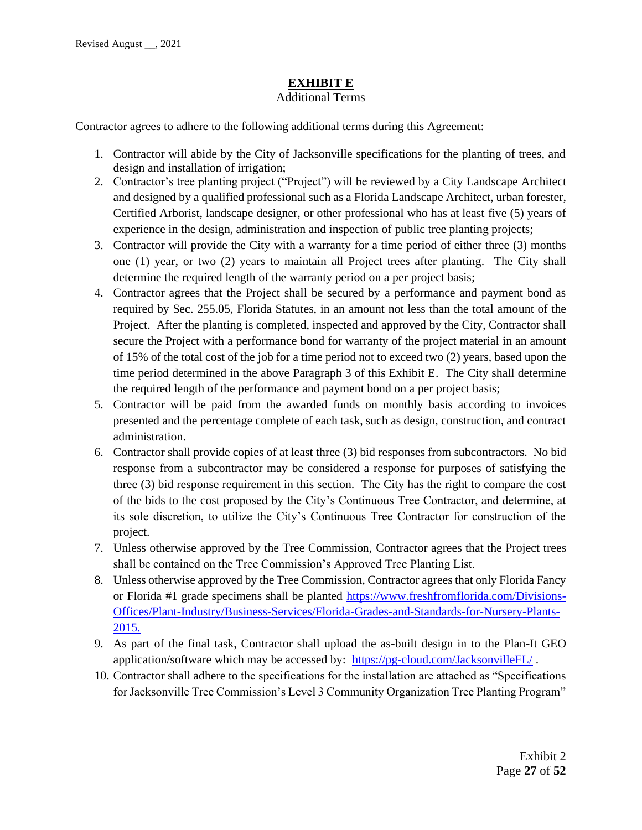# **EXHIBIT E**

#### Additional Terms

Contractor agrees to adhere to the following additional terms during this Agreement:

- 1. Contractor will abide by the City of Jacksonville specifications for the planting of trees, and design and installation of irrigation;
- 2. Contractor's tree planting project ("Project") will be reviewed by a City Landscape Architect and designed by a qualified professional such as a Florida Landscape Architect, urban forester, Certified Arborist, landscape designer, or other professional who has at least five (5) years of experience in the design, administration and inspection of public tree planting projects;
- 3. Contractor will provide the City with a warranty for a time period of either three (3) months one (1) year, or two (2) years to maintain all Project trees after planting. The City shall determine the required length of the warranty period on a per project basis;
- 4. Contractor agrees that the Project shall be secured by a performance and payment bond as required by Sec. 255.05, Florida Statutes, in an amount not less than the total amount of the Project. After the planting is completed, inspected and approved by the City, Contractor shall secure the Project with a performance bond for warranty of the project material in an amount of 15% of the total cost of the job for a time period not to exceed two (2) years, based upon the time period determined in the above Paragraph 3 of this Exhibit E. The City shall determine the required length of the performance and payment bond on a per project basis;
- 5. Contractor will be paid from the awarded funds on monthly basis according to invoices presented and the percentage complete of each task, such as design, construction, and contract administration.
- 6. Contractor shall provide copies of at least three (3) bid responses from subcontractors. No bid response from a subcontractor may be considered a response for purposes of satisfying the three (3) bid response requirement in this section. The City has the right to compare the cost of the bids to the cost proposed by the City's Continuous Tree Contractor, and determine, at its sole discretion, to utilize the City's Continuous Tree Contractor for construction of the project.
- 7. Unless otherwise approved by the Tree Commission, Contractor agrees that the Project trees shall be contained on the Tree Commission's Approved Tree Planting List.
- 8. Unless otherwise approved by the Tree Commission, Contractor agrees that only Florida Fancy or Florida #1 grade specimens shall be planted [https://www.freshfromflorida.com/Divisions-](https://www.freshfromflorida.com/Divisions-Offices/Plant-Industry/Business-Services/Florida-Grades-and-Standards-for-Nursery-Plants-2015)[Offices/Plant-Industry/Business-Services/Florida-Grades-and-Standards-for-Nursery-Plants-](https://www.freshfromflorida.com/Divisions-Offices/Plant-Industry/Business-Services/Florida-Grades-and-Standards-for-Nursery-Plants-2015)[2015.](https://www.freshfromflorida.com/Divisions-Offices/Plant-Industry/Business-Services/Florida-Grades-and-Standards-for-Nursery-Plants-2015)
- 9. As part of the final task, Contractor shall upload the as-built design in to the Plan-It GEO application/software which may be accessed by: <https://pg-cloud.com/JacksonvilleFL/> .
- 10. Contractor shall adhere to the specifications for the installation are attached as "Specifications for Jacksonville Tree Commission's Level 3 Community Organization Tree Planting Program"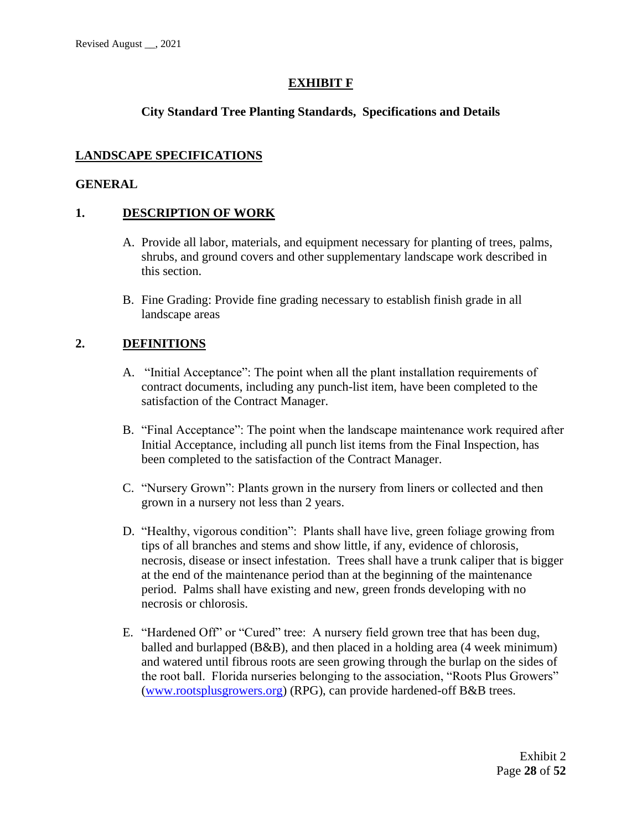# **EXHIBIT F**

# **City Standard Tree Planting Standards, Specifications and Details**

# **LANDSCAPE SPECIFICATIONS**

# **GENERAL**

# **1. DESCRIPTION OF WORK**

- A. Provide all labor, materials, and equipment necessary for planting of trees, palms, shrubs, and ground covers and other supplementary landscape work described in this section.
- B. Fine Grading: Provide fine grading necessary to establish finish grade in all landscape areas

# **2. DEFINITIONS**

- A. "Initial Acceptance": The point when all the plant installation requirements of contract documents, including any punch-list item, have been completed to the satisfaction of the Contract Manager.
- B. "Final Acceptance": The point when the landscape maintenance work required after Initial Acceptance, including all punch list items from the Final Inspection, has been completed to the satisfaction of the Contract Manager.
- C. "Nursery Grown": Plants grown in the nursery from liners or collected and then grown in a nursery not less than 2 years.
- D. "Healthy, vigorous condition": Plants shall have live, green foliage growing from tips of all branches and stems and show little, if any, evidence of chlorosis, necrosis, disease or insect infestation. Trees shall have a trunk caliper that is bigger at the end of the maintenance period than at the beginning of the maintenance period. Palms shall have existing and new, green fronds developing with no necrosis or chlorosis.
- E. "Hardened Off" or "Cured" tree: A nursery field grown tree that has been dug, balled and burlapped (B&B), and then placed in a holding area (4 week minimum) and watered until fibrous roots are seen growing through the burlap on the sides of the root ball. Florida nurseries belonging to the association, "Roots Plus Growers" [\(www.rootsplusgrowers.org\)](http://www.rootsplusgrowers.org/) (RPG), can provide hardened-off B&B trees.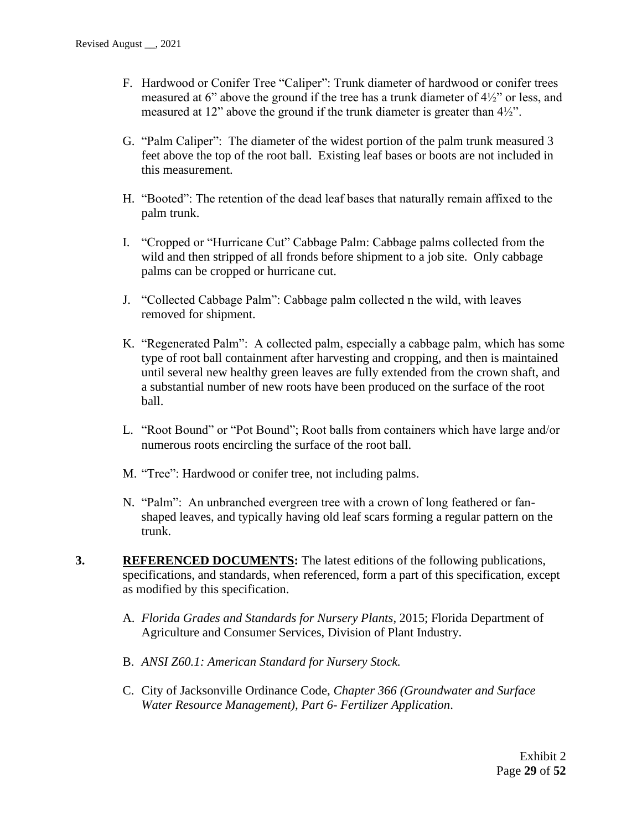- F. Hardwood or Conifer Tree "Caliper": Trunk diameter of hardwood or conifer trees measured at 6" above the ground if the tree has a trunk diameter of 4½" or less, and measured at 12" above the ground if the trunk diameter is greater than 4½".
- G. "Palm Caliper": The diameter of the widest portion of the palm trunk measured 3 feet above the top of the root ball. Existing leaf bases or boots are not included in this measurement.
- H. "Booted": The retention of the dead leaf bases that naturally remain affixed to the palm trunk.
- I. "Cropped or "Hurricane Cut" Cabbage Palm: Cabbage palms collected from the wild and then stripped of all fronds before shipment to a job site. Only cabbage palms can be cropped or hurricane cut.
- J. "Collected Cabbage Palm": Cabbage palm collected n the wild, with leaves removed for shipment.
- K. "Regenerated Palm": A collected palm, especially a cabbage palm, which has some type of root ball containment after harvesting and cropping, and then is maintained until several new healthy green leaves are fully extended from the crown shaft, and a substantial number of new roots have been produced on the surface of the root ball.
- L. "Root Bound" or "Pot Bound"; Root balls from containers which have large and/or numerous roots encircling the surface of the root ball.
- M. "Tree": Hardwood or conifer tree, not including palms.
- N. "Palm": An unbranched evergreen tree with a crown of long feathered or fanshaped leaves, and typically having old leaf scars forming a regular pattern on the trunk.
- **3. REFERENCED DOCUMENTS:** The latest editions of the following publications, specifications, and standards, when referenced, form a part of this specification, except as modified by this specification.
	- A. *Florida Grades and Standards for Nursery Plants*, 2015; Florida Department of Agriculture and Consumer Services, Division of Plant Industry.
	- B. *ANSI Z60.1: American Standard for Nursery Stock.*
	- C. City of Jacksonville Ordinance Code, *Chapter 366 (Groundwater and Surface Water Resource Management), Part 6- Fertilizer Application*.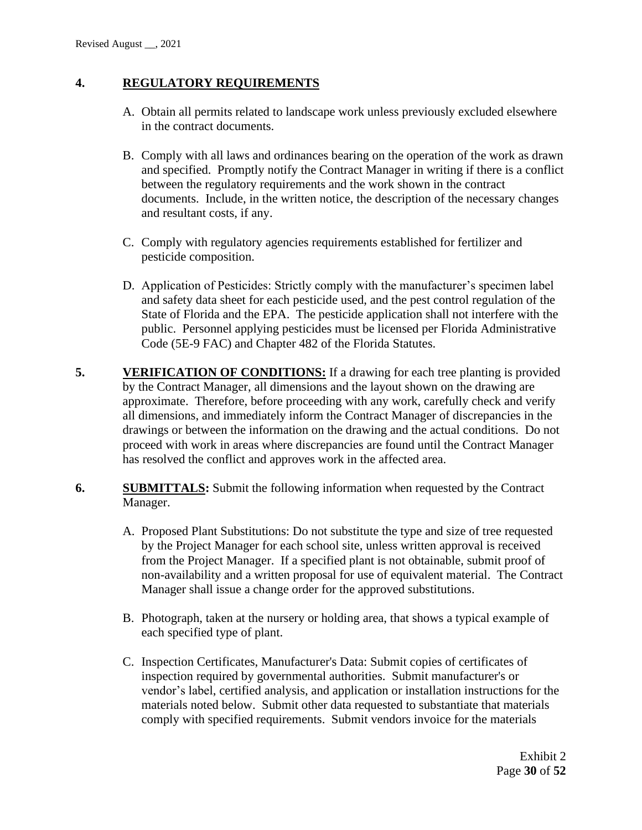# **4. REGULATORY REQUIREMENTS**

- A. Obtain all permits related to landscape work unless previously excluded elsewhere in the contract documents.
- B. Comply with all laws and ordinances bearing on the operation of the work as drawn and specified. Promptly notify the Contract Manager in writing if there is a conflict between the regulatory requirements and the work shown in the contract documents. Include, in the written notice, the description of the necessary changes and resultant costs, if any.
- C. Comply with regulatory agencies requirements established for fertilizer and pesticide composition.
- D. Application of Pesticides: Strictly comply with the manufacturer's specimen label and safety data sheet for each pesticide used, and the pest control regulation of the State of Florida and the EPA. The pesticide application shall not interfere with the public. Personnel applying pesticides must be licensed per Florida Administrative Code (5E-9 FAC) and Chapter 482 of the Florida Statutes.
- **5. VERIFICATION OF CONDITIONS:** If a drawing for each tree planting is provided by the Contract Manager, all dimensions and the layout shown on the drawing are approximate. Therefore, before proceeding with any work, carefully check and verify all dimensions, and immediately inform the Contract Manager of discrepancies in the drawings or between the information on the drawing and the actual conditions. Do not proceed with work in areas where discrepancies are found until the Contract Manager has resolved the conflict and approves work in the affected area.
- **6. SUBMITTALS:** Submit the following information when requested by the Contract Manager.
	- A. Proposed Plant Substitutions: Do not substitute the type and size of tree requested by the Project Manager for each school site, unless written approval is received from the Project Manager. If a specified plant is not obtainable, submit proof of non-availability and a written proposal for use of equivalent material. The Contract Manager shall issue a change order for the approved substitutions.
	- B. Photograph, taken at the nursery or holding area, that shows a typical example of each specified type of plant.
	- C. Inspection Certificates, Manufacturer's Data: Submit copies of certificates of inspection required by governmental authorities. Submit manufacturer's or vendor's label, certified analysis, and application or installation instructions for the materials noted below. Submit other data requested to substantiate that materials comply with specified requirements. Submit vendors invoice for the materials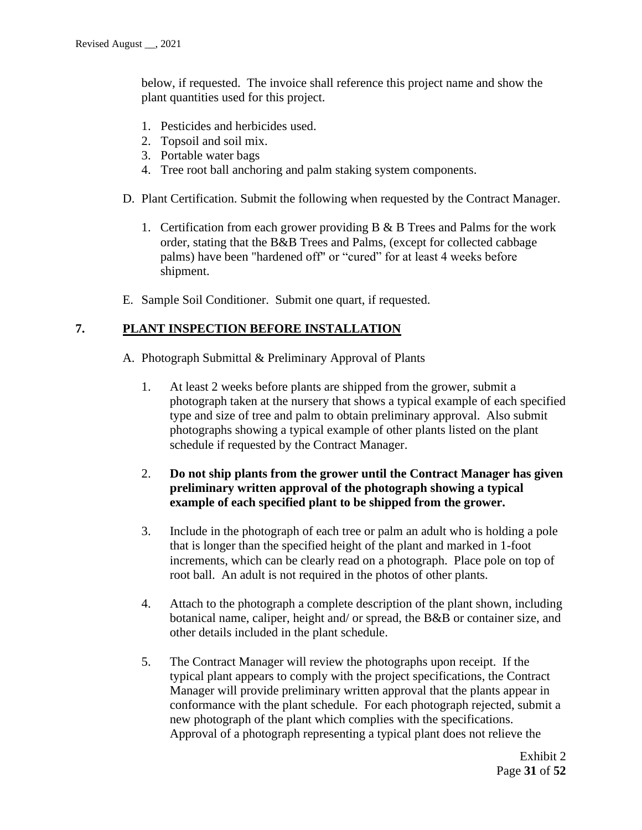below, if requested. The invoice shall reference this project name and show the plant quantities used for this project.

- 1. Pesticides and herbicides used.
- 2. Topsoil and soil mix.
- 3. Portable water bags
- 4. Tree root ball anchoring and palm staking system components.
- D. Plant Certification. Submit the following when requested by the Contract Manager.
	- 1. Certification from each grower providing  $B \& B$  Trees and Palms for the work order, stating that the B&B Trees and Palms, (except for collected cabbage palms) have been "hardened off" or "cured" for at least 4 weeks before shipment.
- E. Sample Soil Conditioner. Submit one quart, if requested.

# **7. PLANT INSPECTION BEFORE INSTALLATION**

- A. Photograph Submittal & Preliminary Approval of Plants
	- 1. At least 2 weeks before plants are shipped from the grower, submit a photograph taken at the nursery that shows a typical example of each specified type and size of tree and palm to obtain preliminary approval. Also submit photographs showing a typical example of other plants listed on the plant schedule if requested by the Contract Manager.
	- 2. **Do not ship plants from the grower until the Contract Manager has given preliminary written approval of the photograph showing a typical example of each specified plant to be shipped from the grower.**
	- 3. Include in the photograph of each tree or palm an adult who is holding a pole that is longer than the specified height of the plant and marked in 1-foot increments, which can be clearly read on a photograph. Place pole on top of root ball. An adult is not required in the photos of other plants.
	- 4. Attach to the photograph a complete description of the plant shown, including botanical name, caliper, height and/ or spread, the B&B or container size, and other details included in the plant schedule.
	- 5. The Contract Manager will review the photographs upon receipt. If the typical plant appears to comply with the project specifications, the Contract Manager will provide preliminary written approval that the plants appear in conformance with the plant schedule. For each photograph rejected, submit a new photograph of the plant which complies with the specifications. Approval of a photograph representing a typical plant does not relieve the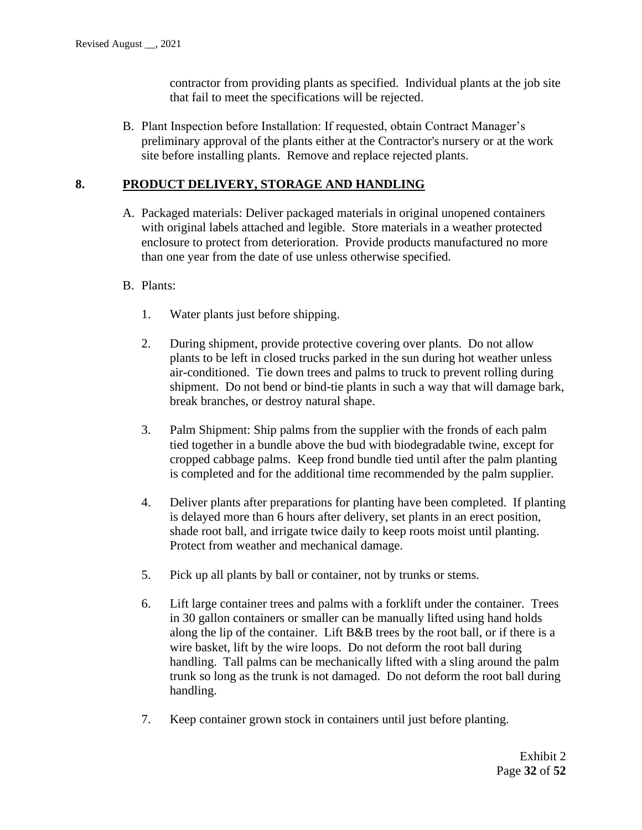contractor from providing plants as specified. Individual plants at the job site that fail to meet the specifications will be rejected.

B. Plant Inspection before Installation: If requested, obtain Contract Manager's preliminary approval of the plants either at the Contractor's nursery or at the work site before installing plants. Remove and replace rejected plants.

# **8. PRODUCT DELIVERY, STORAGE AND HANDLING**

A. Packaged materials: Deliver packaged materials in original unopened containers with original labels attached and legible. Store materials in a weather protected enclosure to protect from deterioration. Provide products manufactured no more than one year from the date of use unless otherwise specified.

# B. Plants:

- 1. Water plants just before shipping.
- 2. During shipment, provide protective covering over plants. Do not allow plants to be left in closed trucks parked in the sun during hot weather unless air-conditioned. Tie down trees and palms to truck to prevent rolling during shipment. Do not bend or bind-tie plants in such a way that will damage bark, break branches, or destroy natural shape.
- 3. Palm Shipment: Ship palms from the supplier with the fronds of each palm tied together in a bundle above the bud with biodegradable twine, except for cropped cabbage palms. Keep frond bundle tied until after the palm planting is completed and for the additional time recommended by the palm supplier.
- 4. Deliver plants after preparations for planting have been completed. If planting is delayed more than 6 hours after delivery, set plants in an erect position, shade root ball, and irrigate twice daily to keep roots moist until planting. Protect from weather and mechanical damage.
- 5. Pick up all plants by ball or container, not by trunks or stems.
- 6. Lift large container trees and palms with a forklift under the container. Trees in 30 gallon containers or smaller can be manually lifted using hand holds along the lip of the container. Lift B&B trees by the root ball, or if there is a wire basket, lift by the wire loops. Do not deform the root ball during handling. Tall palms can be mechanically lifted with a sling around the palm trunk so long as the trunk is not damaged. Do not deform the root ball during handling.
- 7. Keep container grown stock in containers until just before planting.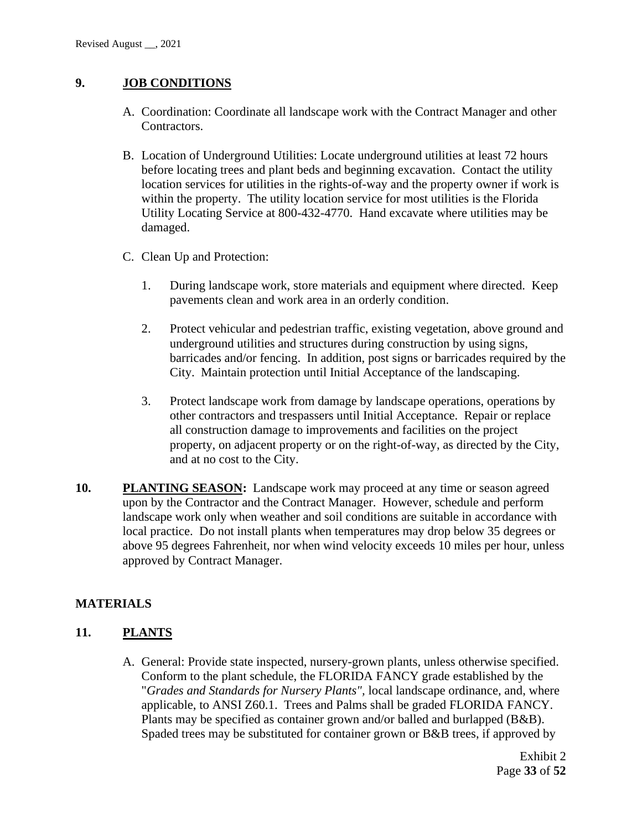# **9. JOB CONDITIONS**

- A. Coordination: Coordinate all landscape work with the Contract Manager and other Contractors.
- B. Location of Underground Utilities: Locate underground utilities at least 72 hours before locating trees and plant beds and beginning excavation. Contact the utility location services for utilities in the rights-of-way and the property owner if work is within the property. The utility location service for most utilities is the Florida Utility Locating Service at 800-432-4770. Hand excavate where utilities may be damaged.
- C. Clean Up and Protection:
	- 1. During landscape work, store materials and equipment where directed. Keep pavements clean and work area in an orderly condition.
	- 2. Protect vehicular and pedestrian traffic, existing vegetation, above ground and underground utilities and structures during construction by using signs, barricades and/or fencing. In addition, post signs or barricades required by the City. Maintain protection until Initial Acceptance of the landscaping.
	- 3. Protect landscape work from damage by landscape operations, operations by other contractors and trespassers until Initial Acceptance. Repair or replace all construction damage to improvements and facilities on the project property, on adjacent property or on the right-of-way, as directed by the City, and at no cost to the City.
- **10. PLANTING SEASON:** Landscape work may proceed at any time or season agreed upon by the Contractor and the Contract Manager. However, schedule and perform landscape work only when weather and soil conditions are suitable in accordance with local practice. Do not install plants when temperatures may drop below 35 degrees or above 95 degrees Fahrenheit, nor when wind velocity exceeds 10 miles per hour, unless approved by Contract Manager.

# **MATERIALS**

# **11. PLANTS**

A. General: Provide state inspected, nursery-grown plants, unless otherwise specified. Conform to the plant schedule, the FLORIDA FANCY grade established by the "*Grades and Standards for Nursery Plants",* local landscape ordinance, and, where applicable, to ANSI Z60.1. Trees and Palms shall be graded FLORIDA FANCY. Plants may be specified as container grown and/or balled and burlapped (B&B). Spaded trees may be substituted for container grown or B&B trees, if approved by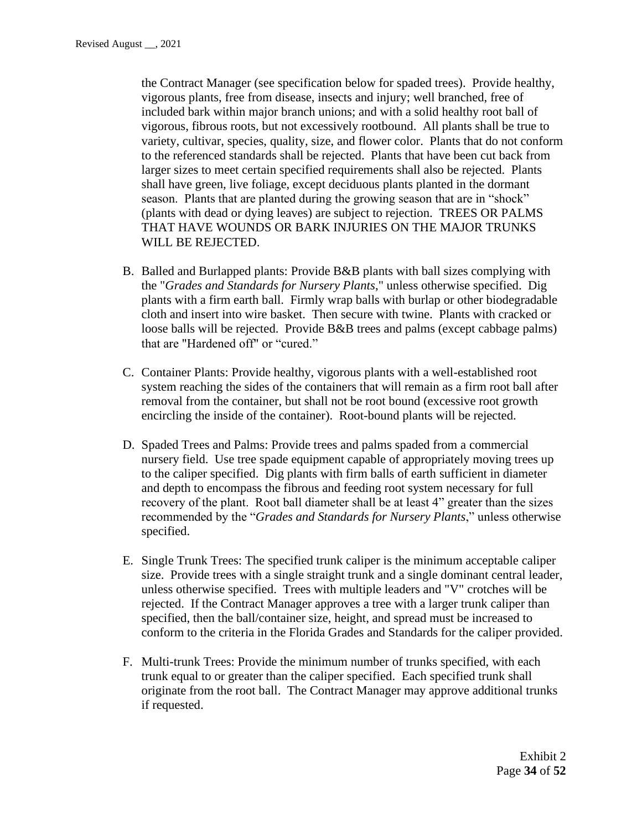the Contract Manager (see specification below for spaded trees). Provide healthy, vigorous plants, free from disease, insects and injury; well branched, free of included bark within major branch unions; and with a solid healthy root ball of vigorous, fibrous roots, but not excessively rootbound. All plants shall be true to variety, cultivar, species, quality, size, and flower color. Plants that do not conform to the referenced standards shall be rejected. Plants that have been cut back from larger sizes to meet certain specified requirements shall also be rejected. Plants shall have green, live foliage, except deciduous plants planted in the dormant season. Plants that are planted during the growing season that are in "shock" (plants with dead or dying leaves) are subject to rejection. TREES OR PALMS THAT HAVE WOUNDS OR BARK INJURIES ON THE MAJOR TRUNKS WILL BE REJECTED.

- B. Balled and Burlapped plants: Provide B&B plants with ball sizes complying with the "*Grades and Standards for Nursery Plants*," unless otherwise specified. Dig plants with a firm earth ball. Firmly wrap balls with burlap or other biodegradable cloth and insert into wire basket. Then secure with twine. Plants with cracked or loose balls will be rejected. Provide B&B trees and palms (except cabbage palms) that are "Hardened off" or "cured."
- C. Container Plants: Provide healthy, vigorous plants with a well-established root system reaching the sides of the containers that will remain as a firm root ball after removal from the container, but shall not be root bound (excessive root growth encircling the inside of the container). Root-bound plants will be rejected.
- D. Spaded Trees and Palms: Provide trees and palms spaded from a commercial nursery field. Use tree spade equipment capable of appropriately moving trees up to the caliper specified. Dig plants with firm balls of earth sufficient in diameter and depth to encompass the fibrous and feeding root system necessary for full recovery of the plant. Root ball diameter shall be at least 4" greater than the sizes recommended by the "*Grades and Standards for Nursery Plants*," unless otherwise specified.
- E. Single Trunk Trees: The specified trunk caliper is the minimum acceptable caliper size. Provide trees with a single straight trunk and a single dominant central leader, unless otherwise specified. Trees with multiple leaders and "V" crotches will be rejected. If the Contract Manager approves a tree with a larger trunk caliper than specified, then the ball/container size, height, and spread must be increased to conform to the criteria in the Florida Grades and Standards for the caliper provided.
- F. Multi-trunk Trees: Provide the minimum number of trunks specified, with each trunk equal to or greater than the caliper specified. Each specified trunk shall originate from the root ball. The Contract Manager may approve additional trunks if requested.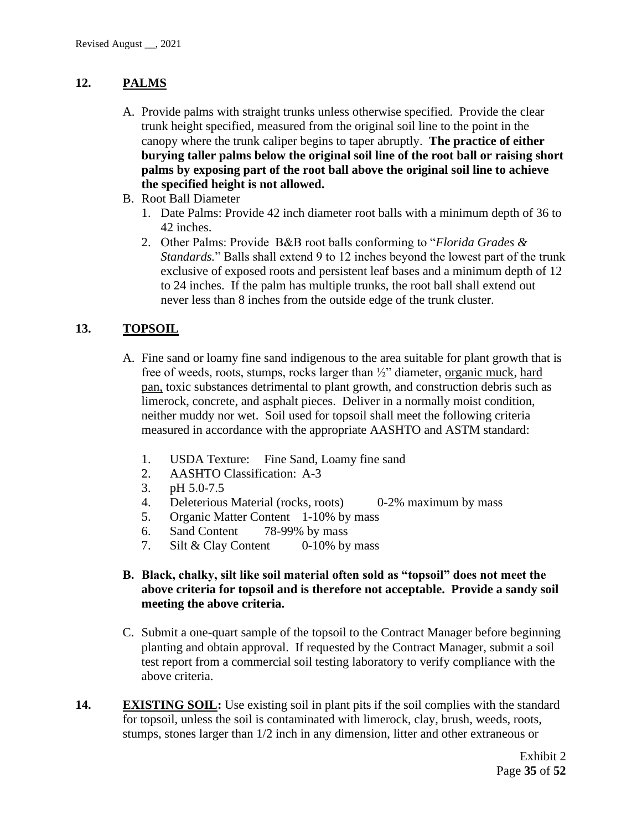# **12. PALMS**

- A. Provide palms with straight trunks unless otherwise specified. Provide the clear trunk height specified, measured from the original soil line to the point in the canopy where the trunk caliper begins to taper abruptly. **The practice of either burying taller palms below the original soil line of the root ball or raising short palms by exposing part of the root ball above the original soil line to achieve the specified height is not allowed.**
- B. Root Ball Diameter
	- 1. Date Palms: Provide 42 inch diameter root balls with a minimum depth of 36 to 42 inches.
	- 2. Other Palms: Provide B&B root balls conforming to "*Florida Grades & Standards.*" Balls shall extend 9 to 12 inches beyond the lowest part of the trunk exclusive of exposed roots and persistent leaf bases and a minimum depth of 12 to 24 inches. If the palm has multiple trunks, the root ball shall extend out never less than 8 inches from the outside edge of the trunk cluster.

# **13. TOPSOIL**

- A. Fine sand or loamy fine sand indigenous to the area suitable for plant growth that is free of weeds, roots, stumps, rocks larger than ½" diameter, organic muck, hard pan, toxic substances detrimental to plant growth, and construction debris such as limerock, concrete, and asphalt pieces. Deliver in a normally moist condition, neither muddy nor wet. Soil used for topsoil shall meet the following criteria measured in accordance with the appropriate AASHTO and ASTM standard:
	- 1. USDA Texture: Fine Sand, Loamy fine sand
	- 2. AASHTO Classification: A-3
	- 3. pH 5.0-7.5
	- 4. Deleterious Material (rocks, roots) 0-2% maximum by mass
	- 5. Organic Matter Content 1-10% by mass
	- 6. Sand Content 78-99% by mass
	- 7. Silt & Clay Content 0-10% by mass
- **B. Black, chalky, silt like soil material often sold as "topsoil" does not meet the above criteria for topsoil and is therefore not acceptable. Provide a sandy soil meeting the above criteria.**
- C. Submit a one-quart sample of the topsoil to the Contract Manager before beginning planting and obtain approval. If requested by the Contract Manager, submit a soil test report from a commercial soil testing laboratory to verify compliance with the above criteria.
- **14. EXISTING SOIL:** Use existing soil in plant pits if the soil complies with the standard for topsoil, unless the soil is contaminated with limerock, clay, brush, weeds, roots, stumps, stones larger than 1/2 inch in any dimension, litter and other extraneous or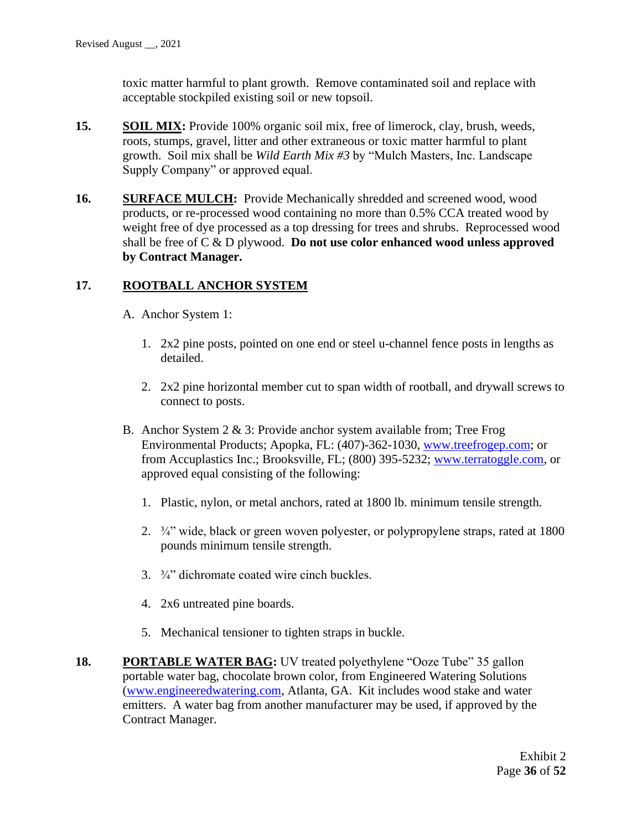toxic matter harmful to plant growth. Remove contaminated soil and replace with acceptable stockpiled existing soil or new topsoil.

- **15. SOIL MIX:** Provide 100% organic soil mix, free of limerock, clay, brush, weeds, roots, stumps, gravel, litter and other extraneous or toxic matter harmful to plant growth. Soil mix shall be *Wild Earth Mix #3* by "Mulch Masters, Inc. Landscape Supply Company" or approved equal.
- **16. SURFACE MULCH:** Provide Mechanically shredded and screened wood, wood products, or re-processed wood containing no more than 0.5% CCA treated wood by weight free of dye processed as a top dressing for trees and shrubs. Reprocessed wood shall be free of C & D plywood. **Do not use color enhanced wood unless approved by Contract Manager.**

# **17. ROOTBALL ANCHOR SYSTEM**

- A. Anchor System 1:
	- 1. 2x2 pine posts, pointed on one end or steel u-channel fence posts in lengths as detailed.
	- 2. 2x2 pine horizontal member cut to span width of rootball, and drywall screws to connect to posts.
- B. Anchor System 2 & 3: Provide anchor system available from; Tree Frog Environmental Products; Apopka, FL: (407)-362-1030, [www.treefrogep.com;](http://www.treefrogep.com/) or from Accuplastics Inc.; Brooksville, FL; (800) 395-5232; [www.terratoggle.com,](http://www.terratoggle.com/) or approved equal consisting of the following:
	- 1. Plastic, nylon, or metal anchors, rated at 1800 lb. minimum tensile strength.
	- 2.  $\frac{3}{4}$ " wide, black or green woven polyester, or polypropylene straps, rated at 1800 pounds minimum tensile strength.
	- 3.  $\frac{3}{4}$  dichromate coated wire cinch buckles.
	- 4. 2x6 untreated pine boards.
	- 5. Mechanical tensioner to tighten straps in buckle.
- **18. PORTABLE WATER BAG:** UV treated polyethylene "Ooze Tube" 35 gallon portable water bag, chocolate brown color, from Engineered Watering Solutions [\(www.engineeredwatering.com,](http://www.engineeredwatering.com/) Atlanta, GA. Kit includes wood stake and water emitters. A water bag from another manufacturer may be used, if approved by the Contract Manager.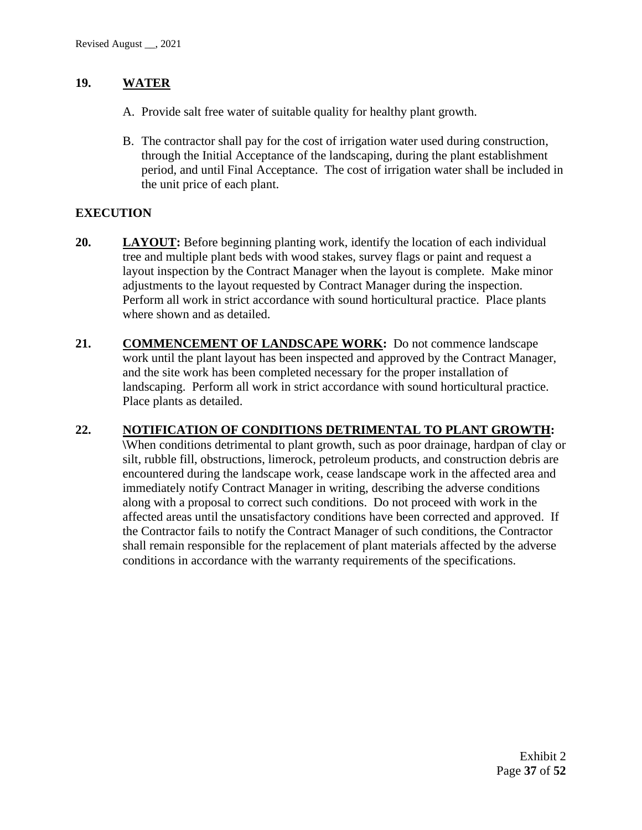# **19. WATER**

- A. Provide salt free water of suitable quality for healthy plant growth.
- B. The contractor shall pay for the cost of irrigation water used during construction, through the Initial Acceptance of the landscaping, during the plant establishment period, and until Final Acceptance. The cost of irrigation water shall be included in the unit price of each plant.

# **EXECUTION**

- **20. LAYOUT:** Before beginning planting work, identify the location of each individual tree and multiple plant beds with wood stakes, survey flags or paint and request a layout inspection by the Contract Manager when the layout is complete. Make minor adjustments to the layout requested by Contract Manager during the inspection. Perform all work in strict accordance with sound horticultural practice. Place plants where shown and as detailed.
- **21. COMMENCEMENT OF LANDSCAPE WORK:** Do not commence landscape work until the plant layout has been inspected and approved by the Contract Manager, and the site work has been completed necessary for the proper installation of landscaping. Perform all work in strict accordance with sound horticultural practice. Place plants as detailed.
- **22. NOTIFICATION OF CONDITIONS DETRIMENTAL TO PLANT GROWTH: \**When conditions detrimental to plant growth, such as poor drainage, hardpan of clay or silt, rubble fill, obstructions, limerock, petroleum products, and construction debris are encountered during the landscape work, cease landscape work in the affected area and immediately notify Contract Manager in writing, describing the adverse conditions along with a proposal to correct such conditions. Do not proceed with work in the affected areas until the unsatisfactory conditions have been corrected and approved. If the Contractor fails to notify the Contract Manager of such conditions, the Contractor shall remain responsible for the replacement of plant materials affected by the adverse conditions in accordance with the warranty requirements of the specifications.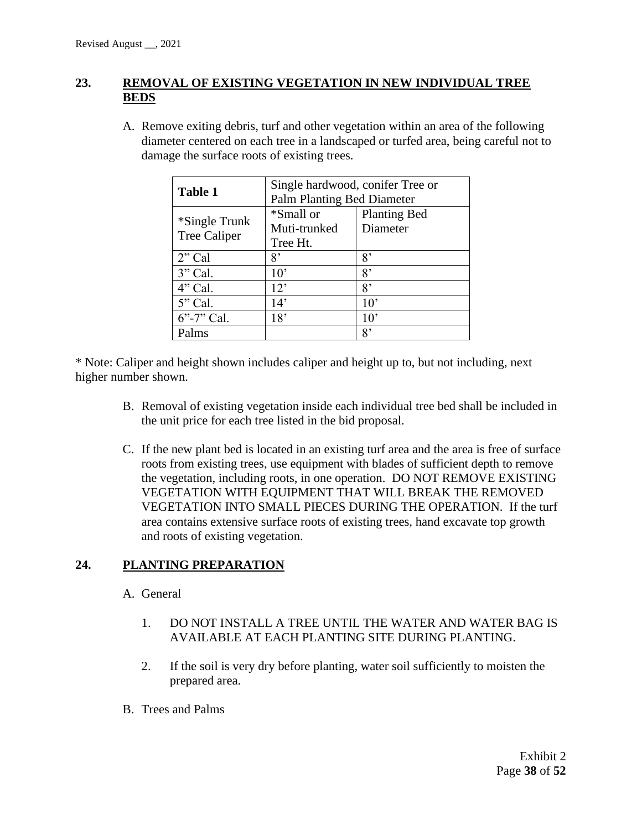# **23. REMOVAL OF EXISTING VEGETATION IN NEW INDIVIDUAL TREE BEDS**

A. Remove exiting debris, turf and other vegetation within an area of the following diameter centered on each tree in a landscaped or turfed area, being careful not to damage the surface roots of existing trees.

| <b>Table 1</b>                | Single hardwood, conifer Tree or<br>Palm Planting Bed Diameter |                                 |  |
|-------------------------------|----------------------------------------------------------------|---------------------------------|--|
| *Single Trunk<br>Tree Caliper | *Small or<br>Muti-trunked<br>Tree Ht.                          | <b>Planting Bed</b><br>Diameter |  |
| $2"$ Cal                      | 8'                                                             | 8,                              |  |
| $3"$ Cal.                     | $10^{\circ}$                                                   | 8'                              |  |
| $4"$ Cal.                     | 12'                                                            | 8'                              |  |
| 5" Cal.                       | 14'                                                            | $10^{\circ}$                    |  |
| $6$ "-7" Cal.                 | 18'                                                            | $10^{\circ}$                    |  |
| Palms                         |                                                                | 8'                              |  |

\* Note: Caliper and height shown includes caliper and height up to, but not including, next higher number shown.

- B. Removal of existing vegetation inside each individual tree bed shall be included in the unit price for each tree listed in the bid proposal.
- C. If the new plant bed is located in an existing turf area and the area is free of surface roots from existing trees, use equipment with blades of sufficient depth to remove the vegetation, including roots, in one operation. DO NOT REMOVE EXISTING VEGETATION WITH EQUIPMENT THAT WILL BREAK THE REMOVED VEGETATION INTO SMALL PIECES DURING THE OPERATION. If the turf area contains extensive surface roots of existing trees, hand excavate top growth and roots of existing vegetation.

# **24. PLANTING PREPARATION**

- A. General
	- 1. DO NOT INSTALL A TREE UNTIL THE WATER AND WATER BAG IS AVAILABLE AT EACH PLANTING SITE DURING PLANTING.
	- 2. If the soil is very dry before planting, water soil sufficiently to moisten the prepared area.
- B. Trees and Palms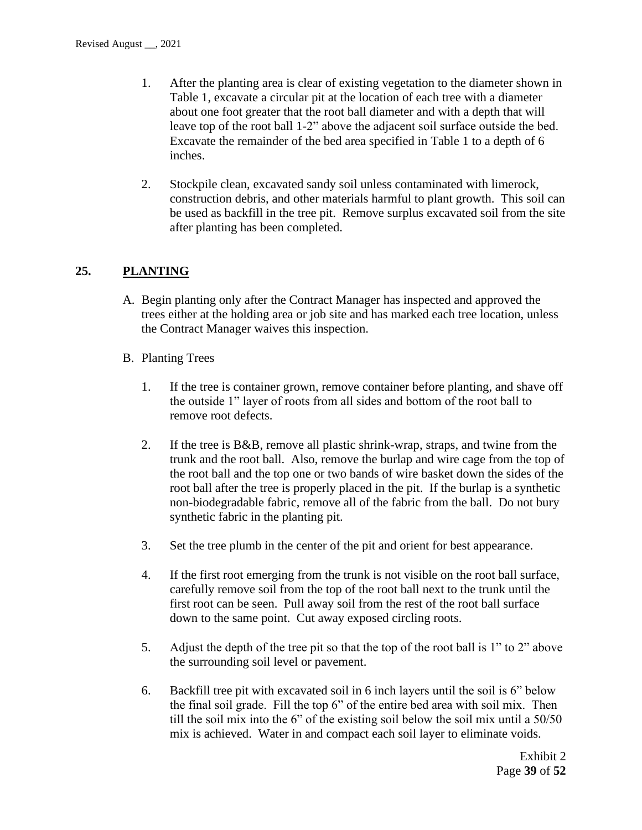- 1. After the planting area is clear of existing vegetation to the diameter shown in Table 1, excavate a circular pit at the location of each tree with a diameter about one foot greater that the root ball diameter and with a depth that will leave top of the root ball 1-2" above the adjacent soil surface outside the bed. Excavate the remainder of the bed area specified in Table 1 to a depth of 6 inches.
- 2. Stockpile clean, excavated sandy soil unless contaminated with limerock, construction debris, and other materials harmful to plant growth. This soil can be used as backfill in the tree pit. Remove surplus excavated soil from the site after planting has been completed.

# **25. PLANTING**

- A. Begin planting only after the Contract Manager has inspected and approved the trees either at the holding area or job site and has marked each tree location, unless the Contract Manager waives this inspection.
- B. Planting Trees
	- 1. If the tree is container grown, remove container before planting, and shave off the outside 1" layer of roots from all sides and bottom of the root ball to remove root defects.
	- 2. If the tree is B&B, remove all plastic shrink-wrap, straps, and twine from the trunk and the root ball. Also, remove the burlap and wire cage from the top of the root ball and the top one or two bands of wire basket down the sides of the root ball after the tree is properly placed in the pit. If the burlap is a synthetic non-biodegradable fabric, remove all of the fabric from the ball. Do not bury synthetic fabric in the planting pit.
	- 3. Set the tree plumb in the center of the pit and orient for best appearance.
	- 4. If the first root emerging from the trunk is not visible on the root ball surface, carefully remove soil from the top of the root ball next to the trunk until the first root can be seen. Pull away soil from the rest of the root ball surface down to the same point. Cut away exposed circling roots.
	- 5. Adjust the depth of the tree pit so that the top of the root ball is 1" to 2" above the surrounding soil level or pavement.
	- 6. Backfill tree pit with excavated soil in 6 inch layers until the soil is 6" below the final soil grade. Fill the top 6" of the entire bed area with soil mix. Then till the soil mix into the 6" of the existing soil below the soil mix until a 50/50 mix is achieved. Water in and compact each soil layer to eliminate voids.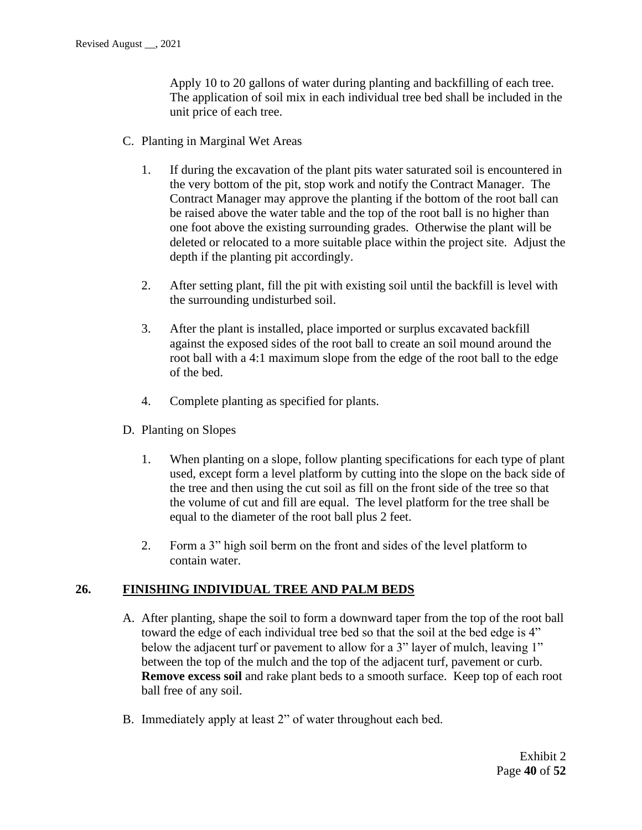Apply 10 to 20 gallons of water during planting and backfilling of each tree. The application of soil mix in each individual tree bed shall be included in the unit price of each tree.

- C. Planting in Marginal Wet Areas
	- 1. If during the excavation of the plant pits water saturated soil is encountered in the very bottom of the pit, stop work and notify the Contract Manager. The Contract Manager may approve the planting if the bottom of the root ball can be raised above the water table and the top of the root ball is no higher than one foot above the existing surrounding grades. Otherwise the plant will be deleted or relocated to a more suitable place within the project site. Adjust the depth if the planting pit accordingly.
	- 2. After setting plant, fill the pit with existing soil until the backfill is level with the surrounding undisturbed soil.
	- 3. After the plant is installed, place imported or surplus excavated backfill against the exposed sides of the root ball to create an soil mound around the root ball with a 4:1 maximum slope from the edge of the root ball to the edge of the bed.
	- 4. Complete planting as specified for plants.
- D. Planting on Slopes
	- 1. When planting on a slope, follow planting specifications for each type of plant used, except form a level platform by cutting into the slope on the back side of the tree and then using the cut soil as fill on the front side of the tree so that the volume of cut and fill are equal. The level platform for the tree shall be equal to the diameter of the root ball plus 2 feet.
	- 2. Form a 3" high soil berm on the front and sides of the level platform to contain water.

#### **26. FINISHING INDIVIDUAL TREE AND PALM BEDS**

- A. After planting, shape the soil to form a downward taper from the top of the root ball toward the edge of each individual tree bed so that the soil at the bed edge is 4" below the adjacent turf or pavement to allow for a 3" layer of mulch, leaving 1" between the top of the mulch and the top of the adjacent turf, pavement or curb. **Remove excess soil** and rake plant beds to a smooth surface. Keep top of each root ball free of any soil.
- B. Immediately apply at least 2" of water throughout each bed.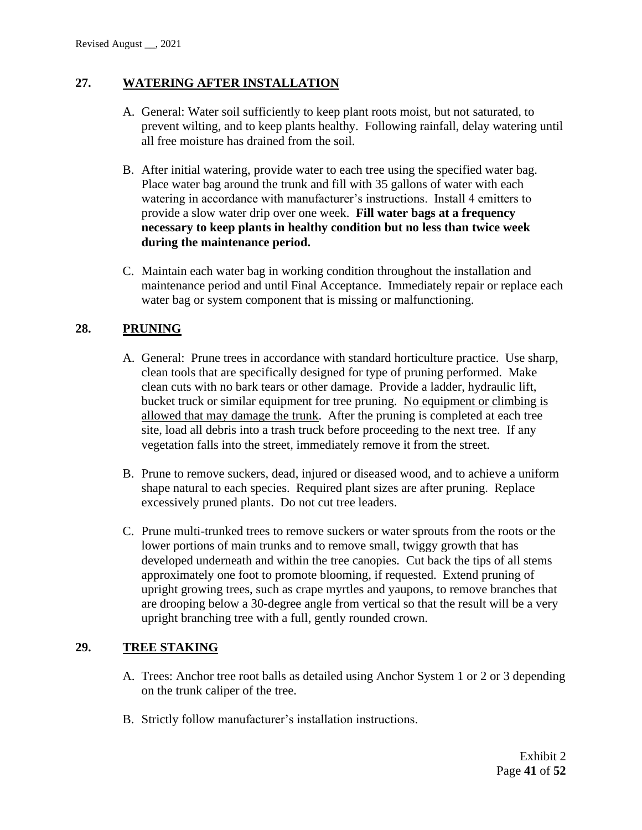### **27. WATERING AFTER INSTALLATION**

- A. General: Water soil sufficiently to keep plant roots moist, but not saturated, to prevent wilting, and to keep plants healthy. Following rainfall, delay watering until all free moisture has drained from the soil.
- B. After initial watering, provide water to each tree using the specified water bag. Place water bag around the trunk and fill with 35 gallons of water with each watering in accordance with manufacturer's instructions. Install 4 emitters to provide a slow water drip over one week. **Fill water bags at a frequency necessary to keep plants in healthy condition but no less than twice week during the maintenance period.**
- C. Maintain each water bag in working condition throughout the installation and maintenance period and until Final Acceptance. Immediately repair or replace each water bag or system component that is missing or malfunctioning.

# **28. PRUNING**

- A. General: Prune trees in accordance with standard horticulture practice. Use sharp, clean tools that are specifically designed for type of pruning performed. Make clean cuts with no bark tears or other damage. Provide a ladder, hydraulic lift, bucket truck or similar equipment for tree pruning. No equipment or climbing is allowed that may damage the trunk. After the pruning is completed at each tree site, load all debris into a trash truck before proceeding to the next tree. If any vegetation falls into the street, immediately remove it from the street.
- B. Prune to remove suckers, dead, injured or diseased wood, and to achieve a uniform shape natural to each species. Required plant sizes are after pruning. Replace excessively pruned plants. Do not cut tree leaders.
- C. Prune multi-trunked trees to remove suckers or water sprouts from the roots or the lower portions of main trunks and to remove small, twiggy growth that has developed underneath and within the tree canopies. Cut back the tips of all stems approximately one foot to promote blooming, if requested. Extend pruning of upright growing trees, such as crape myrtles and yaupons, to remove branches that are drooping below a 30-degree angle from vertical so that the result will be a very upright branching tree with a full, gently rounded crown.

### **29. TREE STAKING**

- A. Trees: Anchor tree root balls as detailed using Anchor System 1 or 2 or 3 depending on the trunk caliper of the tree.
- B. Strictly follow manufacturer's installation instructions.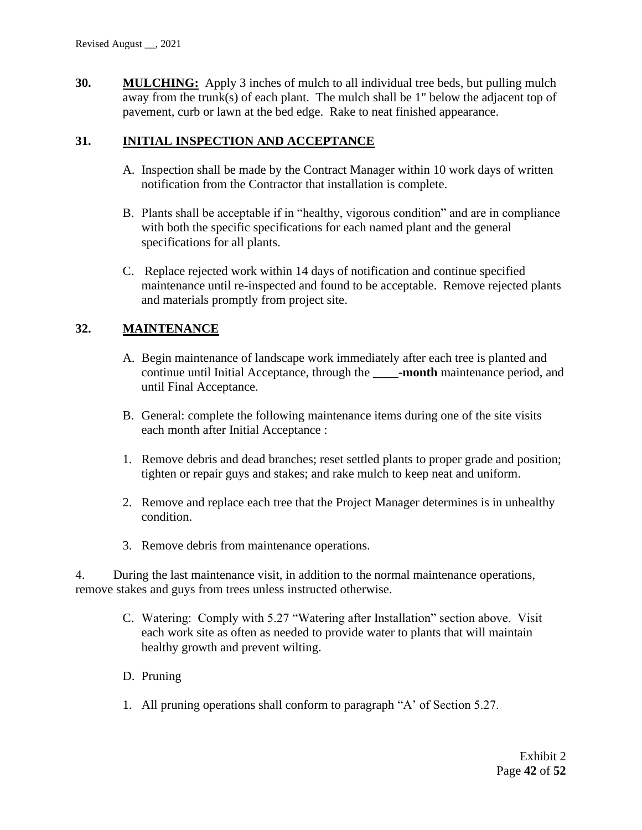**30. MULCHING:** Apply 3 inches of mulch to all individual tree beds, but pulling mulch away from the trunk(s) of each plant. The mulch shall be 1" below the adjacent top of pavement, curb or lawn at the bed edge. Rake to neat finished appearance.

### **31. INITIAL INSPECTION AND ACCEPTANCE**

- A. Inspection shall be made by the Contract Manager within 10 work days of written notification from the Contractor that installation is complete.
- B. Plants shall be acceptable if in "healthy, vigorous condition" and are in compliance with both the specific specifications for each named plant and the general specifications for all plants.
- C. Replace rejected work within 14 days of notification and continue specified maintenance until re-inspected and found to be acceptable. Remove rejected plants and materials promptly from project site.

# **32. MAINTENANCE**

- A. Begin maintenance of landscape work immediately after each tree is planted and continue until Initial Acceptance, through the **\_\_\_\_\_-month** maintenance period, and until Final Acceptance.
- B. General: complete the following maintenance items during one of the site visits each month after Initial Acceptance :
- 1. Remove debris and dead branches; reset settled plants to proper grade and position; tighten or repair guys and stakes; and rake mulch to keep neat and uniform.
- 2. Remove and replace each tree that the Project Manager determines is in unhealthy condition.
- 3. Remove debris from maintenance operations.

4. During the last maintenance visit, in addition to the normal maintenance operations, remove stakes and guys from trees unless instructed otherwise.

- C. Watering: Comply with 5.27 "Watering after Installation" section above. Visit each work site as often as needed to provide water to plants that will maintain healthy growth and prevent wilting.
- D. Pruning
- 1. All pruning operations shall conform to paragraph "A' of Section 5.27.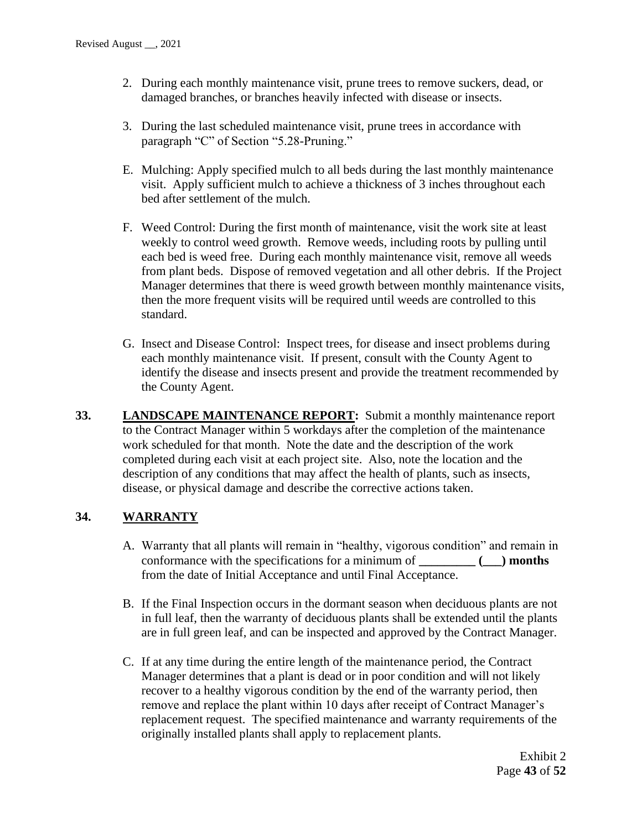- 2. During each monthly maintenance visit, prune trees to remove suckers, dead, or damaged branches, or branches heavily infected with disease or insects.
- 3. During the last scheduled maintenance visit, prune trees in accordance with paragraph "C" of Section "5.28-Pruning."
- E. Mulching: Apply specified mulch to all beds during the last monthly maintenance visit. Apply sufficient mulch to achieve a thickness of 3 inches throughout each bed after settlement of the mulch.
- F. Weed Control: During the first month of maintenance, visit the work site at least weekly to control weed growth. Remove weeds, including roots by pulling until each bed is weed free. During each monthly maintenance visit, remove all weeds from plant beds. Dispose of removed vegetation and all other debris. If the Project Manager determines that there is weed growth between monthly maintenance visits, then the more frequent visits will be required until weeds are controlled to this standard.
- G. Insect and Disease Control: Inspect trees, for disease and insect problems during each monthly maintenance visit. If present, consult with the County Agent to identify the disease and insects present and provide the treatment recommended by the County Agent.
- **33. LANDSCAPE MAINTENANCE REPORT:** Submit a monthly maintenance report to the Contract Manager within 5 workdays after the completion of the maintenance work scheduled for that month. Note the date and the description of the work completed during each visit at each project site. Also, note the location and the description of any conditions that may affect the health of plants, such as insects, disease, or physical damage and describe the corrective actions taken.

# **34. WARRANTY**

- A. Warranty that all plants will remain in "healthy, vigorous condition" and remain in conformance with the specifications for a minimum of  $\qquad \qquad$  **months** from the date of Initial Acceptance and until Final Acceptance.
- B. If the Final Inspection occurs in the dormant season when deciduous plants are not in full leaf, then the warranty of deciduous plants shall be extended until the plants are in full green leaf, and can be inspected and approved by the Contract Manager.
- C. If at any time during the entire length of the maintenance period, the Contract Manager determines that a plant is dead or in poor condition and will not likely recover to a healthy vigorous condition by the end of the warranty period, then remove and replace the plant within 10 days after receipt of Contract Manager's replacement request. The specified maintenance and warranty requirements of the originally installed plants shall apply to replacement plants.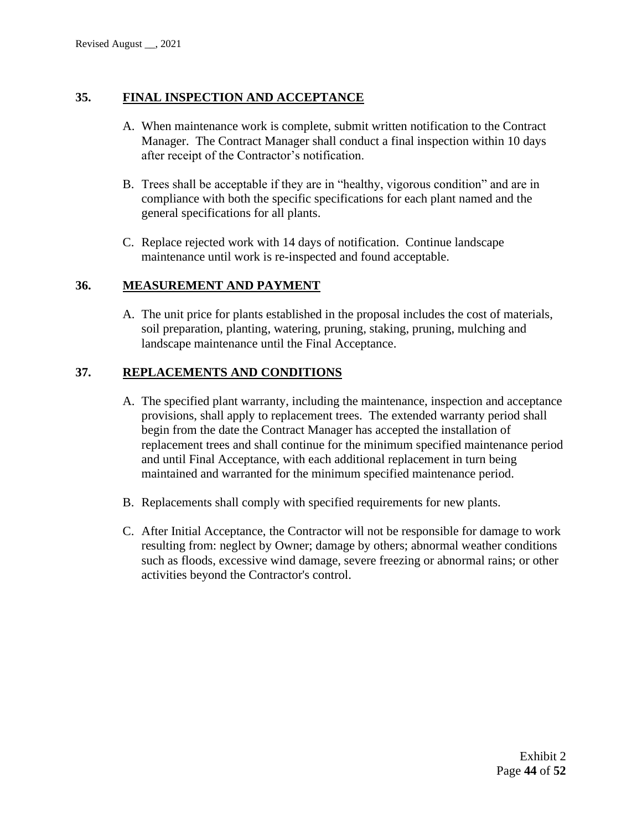# **35. FINAL INSPECTION AND ACCEPTANCE**

- A. When maintenance work is complete, submit written notification to the Contract Manager. The Contract Manager shall conduct a final inspection within 10 days after receipt of the Contractor's notification.
- B. Trees shall be acceptable if they are in "healthy, vigorous condition" and are in compliance with both the specific specifications for each plant named and the general specifications for all plants.
- C. Replace rejected work with 14 days of notification. Continue landscape maintenance until work is re-inspected and found acceptable.

#### **36. MEASUREMENT AND PAYMENT**

A. The unit price for plants established in the proposal includes the cost of materials, soil preparation, planting, watering, pruning, staking, pruning, mulching and landscape maintenance until the Final Acceptance.

#### **37. REPLACEMENTS AND CONDITIONS**

- A. The specified plant warranty, including the maintenance, inspection and acceptance provisions, shall apply to replacement trees. The extended warranty period shall begin from the date the Contract Manager has accepted the installation of replacement trees and shall continue for the minimum specified maintenance period and until Final Acceptance, with each additional replacement in turn being maintained and warranted for the minimum specified maintenance period.
- B. Replacements shall comply with specified requirements for new plants.
- C. After Initial Acceptance, the Contractor will not be responsible for damage to work resulting from: neglect by Owner; damage by others; abnormal weather conditions such as floods, excessive wind damage, severe freezing or abnormal rains; or other activities beyond the Contractor's control.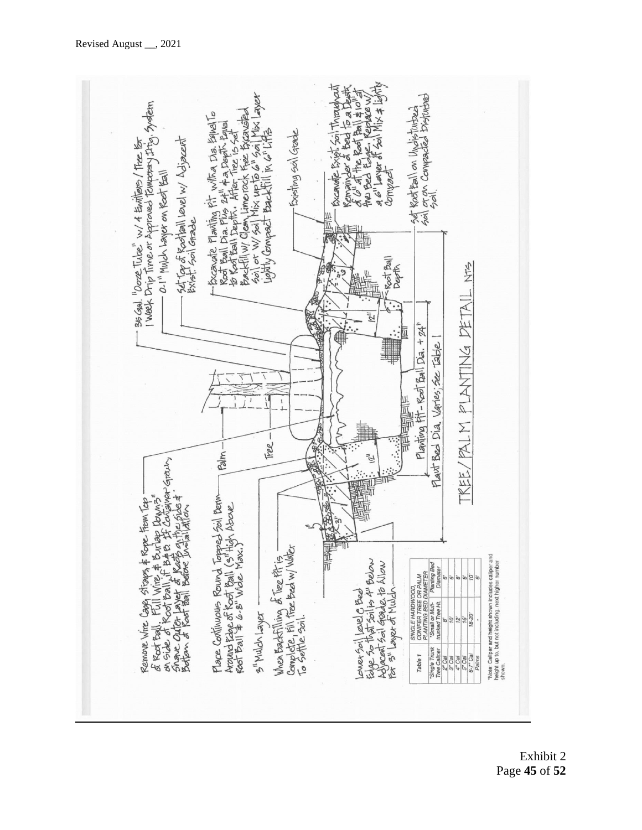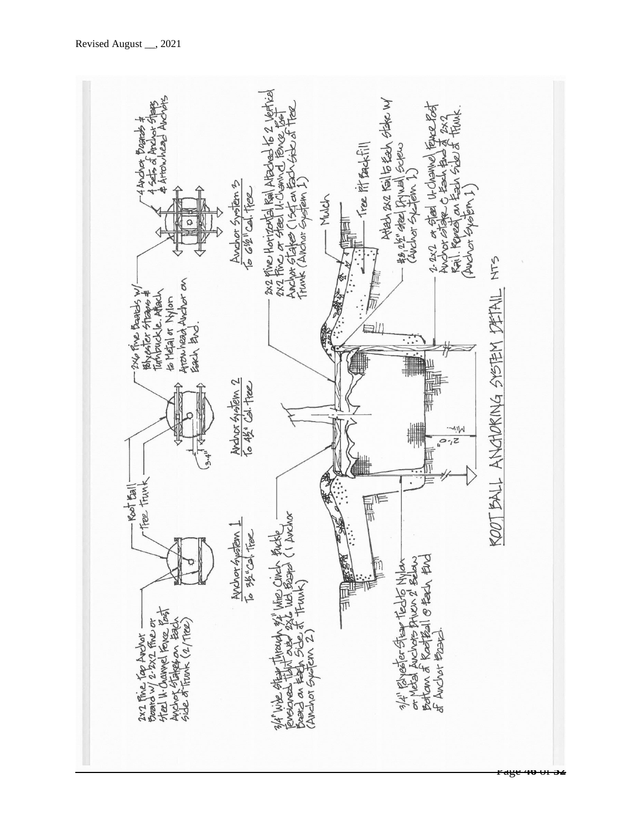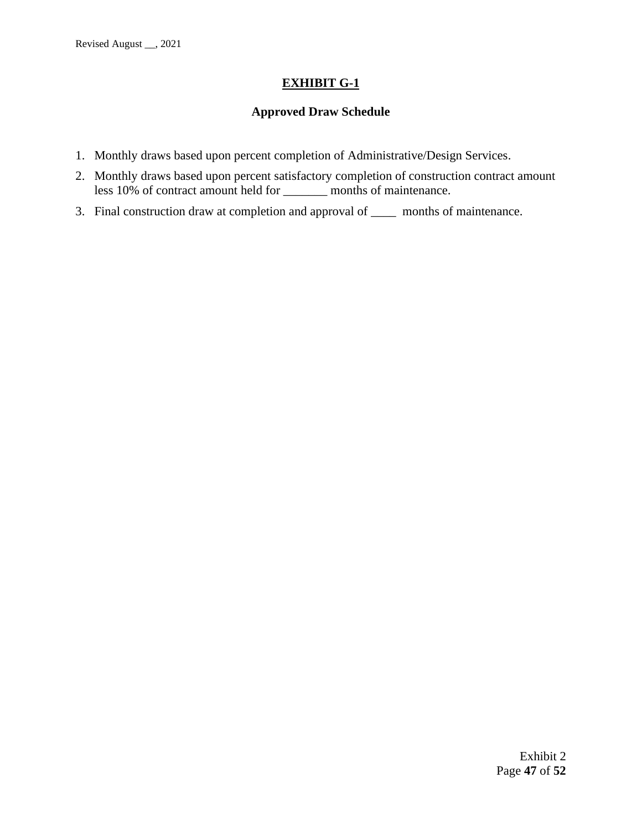# **EXHIBIT G-1**

# **Approved Draw Schedule**

- 1. Monthly draws based upon percent completion of Administrative/Design Services.
- 2. Monthly draws based upon percent satisfactory completion of construction contract amount less 10% of contract amount held for \_\_\_\_\_\_\_ months of maintenance.
- 3. Final construction draw at completion and approval of \_\_\_\_ months of maintenance.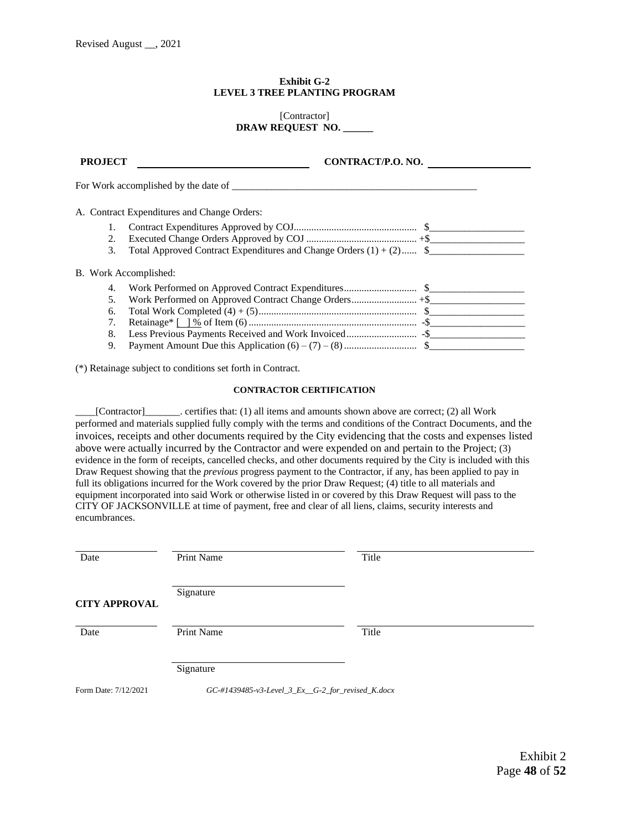#### **Exhibit G-2 LEVEL 3 TREE PLANTING PROGRAM**

[Contractor] **DRAW REQUEST NO. \_\_\_\_\_\_**

| <b>PROJECT</b> | <b>CONTRACT/P.O. NO.</b>                                              |
|----------------|-----------------------------------------------------------------------|
|                |                                                                       |
|                | A. Contract Expenditures and Change Orders:                           |
|                |                                                                       |
| 2.             |                                                                       |
| 3.             | Total Approved Contract Expenditures and Change Orders $(1) + (2)$ \$ |
|                | B. Work Accomplished:                                                 |
| 4.             |                                                                       |
| 5.             |                                                                       |
| 6.             |                                                                       |
| 7.             |                                                                       |
| 8.             |                                                                       |
| 9.             |                                                                       |

(\*) Retainage subject to conditions set forth in Contract.

#### **CONTRACTOR CERTIFICATION**

\_\_\_\_[Contractor]\_\_\_\_\_\_\_. certifies that: (1) all items and amounts shown above are correct; (2) all Work performed and materials supplied fully comply with the terms and conditions of the Contract Documents, and the invoices, receipts and other documents required by the City evidencing that the costs and expenses listed above were actually incurred by the Contractor and were expended on and pertain to the Project; (3) evidence in the form of receipts, cancelled checks, and other documents required by the City is included with this Draw Request showing that the *previous* progress payment to the Contractor, if any, has been applied to pay in full its obligations incurred for the Work covered by the prior Draw Request; (4) title to all materials and equipment incorporated into said Work or otherwise listed in or covered by this Draw Request will pass to the CITY OF JACKSONVILLE at time of payment, free and clear of all liens, claims, security interests and encumbrances.

| Date                 | Print Name                                           | Title |
|----------------------|------------------------------------------------------|-------|
| <b>CITY APPROVAL</b> | Signature                                            |       |
| Date                 | <b>Print Name</b>                                    | Title |
|                      | Signature                                            |       |
| Form Date: 7/12/2021 | $GC$ -#1439485-v3-Level_3_Ex__G-2_for_revised_K.docx |       |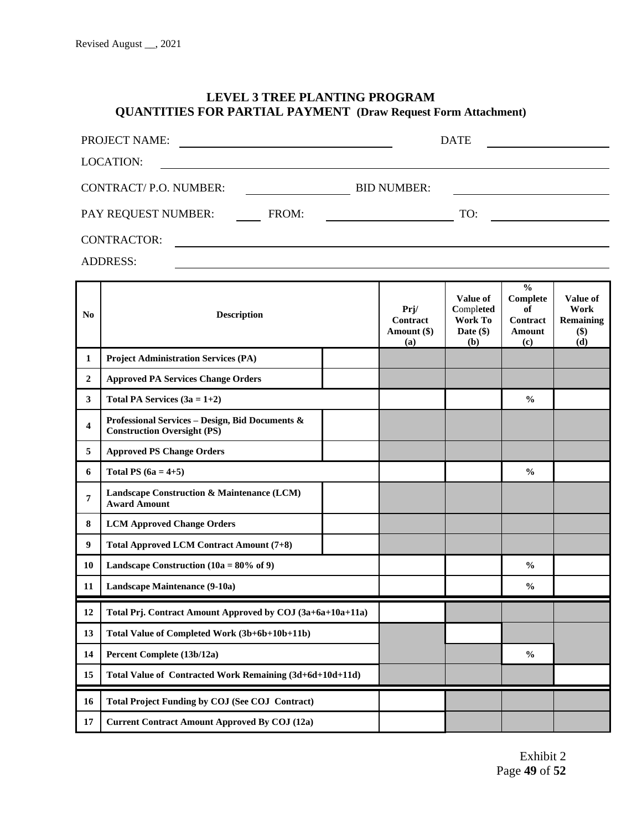# **LEVEL 3 TREE PLANTING PROGRAM QUANTITIES FOR PARTIAL PAYMENT (Draw Request Form Attachment)**

|                         | PROJECT NAME:<br><b>DATE</b><br><u> 1980 - Jan Stein Stein Stein Stein Stein Stein Stein Stein Stein Stein Stein Stein Stein Stein Stein Stein S</u> |  |                                               |                                                                      |                                                              |                                                       |
|-------------------------|------------------------------------------------------------------------------------------------------------------------------------------------------|--|-----------------------------------------------|----------------------------------------------------------------------|--------------------------------------------------------------|-------------------------------------------------------|
|                         | <b>LOCATION:</b><br><u> 1989 - Johann Barbara, martxa alemaniar amerikan a</u>                                                                       |  |                                               |                                                                      |                                                              |                                                       |
|                         | CONTRACT/ P.O. NUMBER:<br>BID NUMBER:                                                                                                                |  |                                               |                                                                      |                                                              |                                                       |
|                         | PAY REQUEST NUMBER:<br>FROM:                                                                                                                         |  | <u> 1980 - Johann Stoff, fransk politik (</u> | TO:                                                                  |                                                              |                                                       |
|                         | <b>CONTRACTOR:</b>                                                                                                                                   |  |                                               |                                                                      |                                                              |                                                       |
|                         | <b>ADDRESS:</b><br><u> 1980 - Johann Barbara, martin da kasar Amerikaansk konstantin (</u>                                                           |  |                                               |                                                                      |                                                              |                                                       |
| N <sub>0</sub>          | <b>Description</b>                                                                                                                                   |  | Prj/<br>Contract<br>Amount (\$)<br>(a)        | <b>Value of</b><br>Completed<br><b>Work To</b><br>Date $(\$)$<br>(b) | $\frac{0}{0}$<br>Complete<br>of<br>Contract<br>Amount<br>(c) | Value of<br>Work<br><b>Remaining</b><br>$(\$)$<br>(d) |
| 1                       | <b>Project Administration Services (PA)</b>                                                                                                          |  |                                               |                                                                      |                                                              |                                                       |
| $\overline{2}$          | <b>Approved PA Services Change Orders</b>                                                                                                            |  |                                               |                                                                      |                                                              |                                                       |
| 3                       | Total PA Services $(3a = 1+2)$                                                                                                                       |  |                                               |                                                                      | $\frac{0}{0}$                                                |                                                       |
| $\overline{\mathbf{4}}$ | Professional Services - Design, Bid Documents &<br><b>Construction Oversight (PS)</b>                                                                |  |                                               |                                                                      |                                                              |                                                       |
| 5                       | <b>Approved PS Change Orders</b>                                                                                                                     |  |                                               |                                                                      |                                                              |                                                       |
| 6                       | Total PS $(6a = 4+5)$                                                                                                                                |  |                                               |                                                                      | $\frac{0}{0}$                                                |                                                       |
| $\overline{7}$          | Landscape Construction & Maintenance (LCM)<br><b>Award Amount</b>                                                                                    |  |                                               |                                                                      |                                                              |                                                       |
| 8                       | <b>LCM Approved Change Orders</b>                                                                                                                    |  |                                               |                                                                      |                                                              |                                                       |
| 9                       | Total Approved LCM Contract Amount (7+8)                                                                                                             |  |                                               |                                                                      |                                                              |                                                       |
| 10                      | Landscape Construction $(10a = 80\% \text{ of } 9)$                                                                                                  |  |                                               |                                                                      | $\frac{0}{0}$                                                |                                                       |
| 11                      | Landscape Maintenance (9-10a)                                                                                                                        |  |                                               |                                                                      | $\frac{0}{0}$                                                |                                                       |
| 12                      | Total Prj. Contract Amount Approved by COJ (3a+6a+10a+11a)                                                                                           |  |                                               |                                                                      |                                                              |                                                       |
| 13                      | Total Value of Completed Work (3b+6b+10b+11b)                                                                                                        |  |                                               |                                                                      |                                                              |                                                       |
| 14                      | Percent Complete (13b/12a)                                                                                                                           |  |                                               |                                                                      | $\frac{0}{0}$                                                |                                                       |
| 15                      | Total Value of Contracted Work Remaining (3d+6d+10d+11d)                                                                                             |  |                                               |                                                                      |                                                              |                                                       |
| 16                      | <b>Total Project Funding by COJ (See COJ Contract)</b>                                                                                               |  |                                               |                                                                      |                                                              |                                                       |
| 17                      | <b>Current Contract Amount Approved By COJ (12a)</b>                                                                                                 |  |                                               |                                                                      |                                                              |                                                       |

Exhibit 2 Page **49** of **52**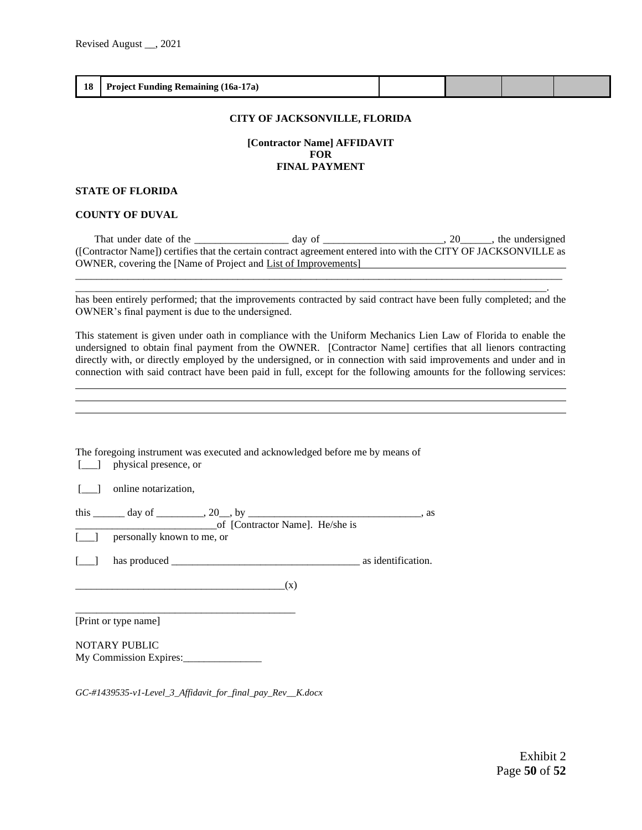| 18 | <b>Project Funding Remaining (16a-17a)</b> |  |  |
|----|--------------------------------------------|--|--|

#### **CITY OF JACKSONVILLE, FLORIDA**

#### **[Contractor Name] AFFIDAVIT FOR FINAL PAYMENT**

#### **STATE OF FLORIDA**

#### **COUNTY OF DUVAL**

That under date of the \_\_\_\_\_\_\_\_\_\_\_\_\_\_\_\_\_\_\_\_\_ day of \_\_\_\_\_\_\_\_\_\_\_\_\_\_\_\_\_\_\_\_, 20\_\_\_\_\_\_, the undersigned ([Contractor Name]) certifies that the certain contract agreement entered into with the CITY OF JACKSONVILLE as OWNER, covering the [Name of Project and List of Improvements]

 $\_$  ,  $\_$  ,  $\_$  ,  $\_$  ,  $\_$  ,  $\_$  ,  $\_$  ,  $\_$  ,  $\_$  ,  $\_$  ,  $\_$  ,  $\_$  ,  $\_$  ,  $\_$  ,  $\_$  ,  $\_$  ,  $\_$  ,  $\_$  ,  $\_$  ,  $\_$  ,  $\_$  ,  $\_$  ,  $\_$  ,  $\_$  ,  $\_$  ,  $\_$  ,  $\_$  ,  $\_$  ,  $\_$  ,  $\_$  ,  $\_$  ,  $\_$  ,  $\_$  ,  $\_$  ,  $\_$  ,  $\_$  ,  $\_$  , \_\_\_\_\_\_\_\_\_\_\_\_\_\_\_\_\_\_\_\_\_\_\_\_\_\_\_\_\_\_\_\_\_\_\_\_\_\_\_\_\_\_\_\_\_\_\_\_\_\_\_\_\_\_\_\_\_\_\_\_\_\_\_\_\_\_\_\_\_\_\_\_\_\_\_\_\_\_\_\_\_\_\_\_\_\_\_\_\_\_.

has been entirely performed; that the improvements contracted by said contract have been fully completed; and the OWNER's final payment is due to the undersigned.

This statement is given under oath in compliance with the Uniform Mechanics Lien Law of Florida to enable the undersigned to obtain final payment from the OWNER. [Contractor Name] certifies that all lienors contracting directly with, or directly employed by the undersigned, or in connection with said improvements and under and in connection with said contract have been paid in full, except for the following amounts for the following services:

|                                  | The foregoing instrument was executed and acknowledged before me by means of |  |
|----------------------------------|------------------------------------------------------------------------------|--|
| [__] physical presence, or       |                                                                              |  |
| online notarization.             |                                                                              |  |
|                                  | this _______ day of _________, 20__, by ________________________________, as |  |
| [___] personally known to me, or |                                                                              |  |
|                                  |                                                                              |  |
|                                  | (x)                                                                          |  |
| [Print or type name]             |                                                                              |  |
| NOTARY PUBLIC                    |                                                                              |  |
| My Commission Expires:           |                                                                              |  |

*GC-#1439535-v1-Level\_3\_Affidavit\_for\_final\_pay\_Rev\_\_K.docx*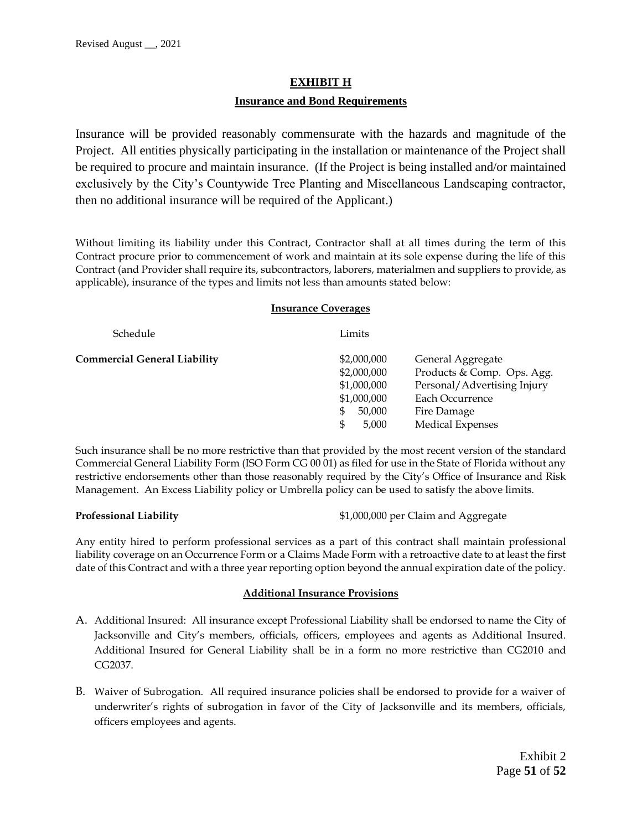#### **EXHIBIT H**

#### **Insurance and Bond Requirements**

Insurance will be provided reasonably commensurate with the hazards and magnitude of the Project. All entities physically participating in the installation or maintenance of the Project shall be required to procure and maintain insurance. (If the Project is being installed and/or maintained exclusively by the City's Countywide Tree Planting and Miscellaneous Landscaping contractor, then no additional insurance will be required of the Applicant.)

Without limiting its liability under this Contract, Contractor shall at all times during the term of this Contract procure prior to commencement of work and maintain at its sole expense during the life of this Contract (and Provider shall require its, subcontractors, laborers, materialmen and suppliers to provide, as applicable), insurance of the types and limits not less than amounts stated below:

#### **Insurance Coverages**

| Schedule                            | Limits                                                                                  |                                                                                                                                             |
|-------------------------------------|-----------------------------------------------------------------------------------------|---------------------------------------------------------------------------------------------------------------------------------------------|
| <b>Commercial General Liability</b> | \$2,000,000<br>\$2,000,000<br>\$1,000,000<br>\$1,000,000<br>50,000<br>\$<br>\$<br>5,000 | General Aggregate<br>Products & Comp. Ops. Agg.<br>Personal/Advertising Injury<br>Each Occurrence<br>Fire Damage<br><b>Medical Expenses</b> |
|                                     |                                                                                         |                                                                                                                                             |

Such insurance shall be no more restrictive than that provided by the most recent version of the standard Commercial General Liability Form (ISO Form CG 00 01) as filed for use in the State of Florida without any restrictive endorsements other than those reasonably required by the City's Office of Insurance and Risk Management. An Excess Liability policy or Umbrella policy can be used to satisfy the above limits.

#### **Professional Liability**  $$1,000,000$  per Claim and Aggregate

Any entity hired to perform professional services as a part of this contract shall maintain professional liability coverage on an Occurrence Form or a Claims Made Form with a retroactive date to at least the first date of this Contract and with a three year reporting option beyond the annual expiration date of the policy.

#### **Additional Insurance Provisions**

- A. Additional Insured: All insurance except Professional Liability shall be endorsed to name the City of Jacksonville and City's members, officials, officers, employees and agents as Additional Insured. Additional Insured for General Liability shall be in a form no more restrictive than CG2010 and CG2037.
- B. Waiver of Subrogation. All required insurance policies shall be endorsed to provide for a waiver of underwriter's rights of subrogation in favor of the City of Jacksonville and its members, officials, officers employees and agents.